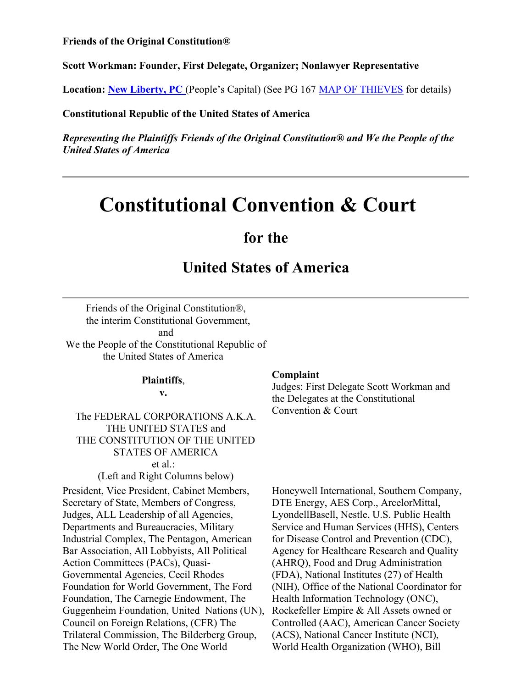**Friends of the Original Constitution®**

**Scott Workman: Founder, First Delegate, Organizer; Nonlawyer Representative**

**Location: New Liberty, PC** (People's Capital) (See PG 167 MAP OF THIEVES for details)

**Constitutional Republic of the United States of America**

*Representing the Plaintiffs Friends of the Original Constitution® and We the People of the United States of America*

# **Constitutional Convention & Court**

### **for the**

## **United States of America**

Friends of the Original Constitution®, the interim Constitutional Government, and We the People of the Constitutional Republic of the United States of America

#### **Plaintiffs**,

**v.**

The FEDERAL CORPORATIONS A.K.A. THE UNITED STATES and THE CONSTITUTION OF THE UNITED STATES OF AMERICA et al.:

(Left and Right Columns below)

President, Vice President, Cabinet Members, Secretary of State, Members of Congress, Judges, ALL Leadership of all Agencies, Departments and Bureaucracies, Military Industrial Complex, The Pentagon, American Bar Association, All Lobbyists, All Political Action Committees (PACs), Quasi-Governmental Agencies, Cecil Rhodes Foundation for World Government, The Ford Foundation, The Carnegie Endowment, The Guggenheim Foundation, United Nations (UN), Council on Foreign Relations, (CFR) The Trilateral Commission, The Bilderberg Group, The New World Order, The One World

#### **Complaint**

Judges: First Delegate Scott Workman and the Delegates at the Constitutional Convention & Court

Honeywell International, Southern Company, DTE Energy, AES Corp., ArcelorMittal, LyondellBasell, Nestle, U.S. Public Health Service and Human Services (HHS), Centers for Disease Control and Prevention (CDC), Agency for Healthcare Research and Quality (AHRQ), Food and Drug Administration (FDA), National Institutes (27) of Health (NIH), Office of the National Coordinator for Health Information Technology (ONC), Rockefeller Empire & All Assets owned or Controlled (AAC), American Cancer Society (ACS), National Cancer Institute (NCI), World Health Organization (WHO), Bill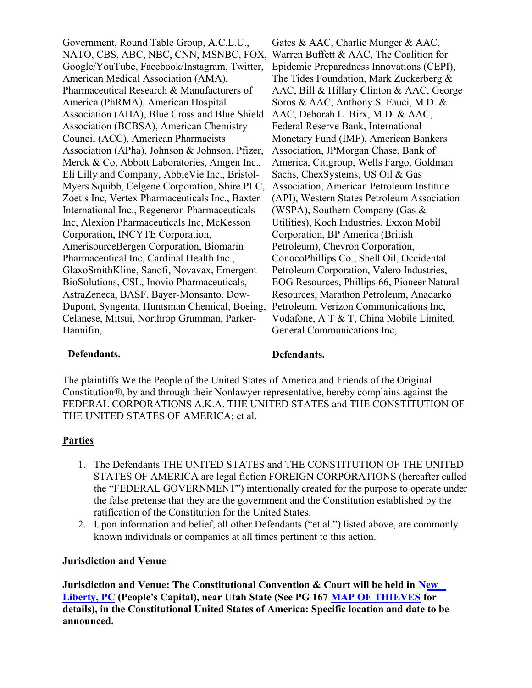Government, Round Table Group, A.C.L.U., NATO, CBS, ABC, NBC, CNN, MSNBC, FOX, Google/YouTube, Facebook/Instagram, Twitter, American Medical Association (AMA), Pharmaceutical Research & Manufacturers of America (PhRMA), American Hospital Association (AHA), Blue Cross and Blue Shield AAC, Deborah L. Birx, M.D. & AAC, Association (BCBSA), American Chemistry Council (ACC), American Pharmacists Association (APha), Johnson & Johnson, Pfizer, Merck & Co, Abbott Laboratories, Amgen Inc., Eli Lilly and Company, AbbieVie Inc., Bristol-Myers Squibb, Celgene Corporation, Shire PLC, Zoetis Inc, Vertex Pharmaceuticals Inc., Baxter International Inc., Regeneron Pharmaceuticals Inc, Alexion Pharmaceuticals Inc, McKesson Corporation, INCYTE Corporation, AmerisourceBergen Corporation, Biomarin Pharmaceutical Inc, Cardinal Health Inc., GlaxoSmithKline, Sanofi, Novavax, Emergent BioSolutions, CSL, Inovio Pharmaceuticals, AstraZeneca, BASF, Bayer-Monsanto, Dow-Dupont, Syngenta, Huntsman Chemical, Boeing, Celanese, Mitsui, Northrop Grumman, Parker-Hannifin,

Gates & AAC, Charlie Munger & AAC, Warren Buffett & AAC, The Coalition for Epidemic Preparedness Innovations (CEPI), The Tides Foundation, Mark Zuckerberg & AAC, Bill & Hillary Clinton & AAC, George Soros & AAC, Anthony S. Fauci, M.D. & Federal Reserve Bank, International Monetary Fund (IMF), American Bankers Association, JPMorgan Chase, Bank of America, Citigroup, Wells Fargo, Goldman Sachs, ChexSystems, US Oil & Gas Association, American Petroleum Institute (API), Western States Petroleum Association (WSPA), Southern Company (Gas & Utilities), Koch Industries, Exxon Mobil Corporation, BP America (British Petroleum), Chevron Corporation, ConocoPhillips Co., Shell Oil, Occidental Petroleum Corporation, Valero Industries, EOG Resources, Phillips 66, Pioneer Natural Resources, Marathon Petroleum, Anadarko Petroleum, Verizon Communications Inc, Vodafone, A T & T, China Mobile Limited, General Communications Inc,

#### **Defendants.**

#### **Defendants.**

The plaintiffs We the People of the United States of America and Friends of the Original Constitution®, by and through their Nonlawyer representative, hereby complains against the FEDERAL CORPORATIONS A.K.A. THE UNITED STATES and THE CONSTITUTION OF THE UNITED STATES OF AMERICA; et al.

#### **Parties**

- 1. The Defendants THE UNITED STATES and THE CONSTITUTION OF THE UNITED STATES OF AMERICA are legal fiction FOREIGN CORPORATIONS (hereafter called the "FEDERAL GOVERNMENT") intentionally created for the purpose to operate under the false pretense that they are the government and the Constitution established by the ratification of the Constitution for the United States.
- 2. Upon information and belief, all other Defendants ("et al.") listed above, are commonly known individuals or companies at all times pertinent to this action.

#### **Jurisdiction and Venue**

**Jurisdiction and Venue: The Constitutional Convention & Court will be held in New Liberty, PC (People's Capital), near Utah State (See PG 167 MAP OF THIEVES for details), in the Constitutional United States of America: Specific location and date to be announced.**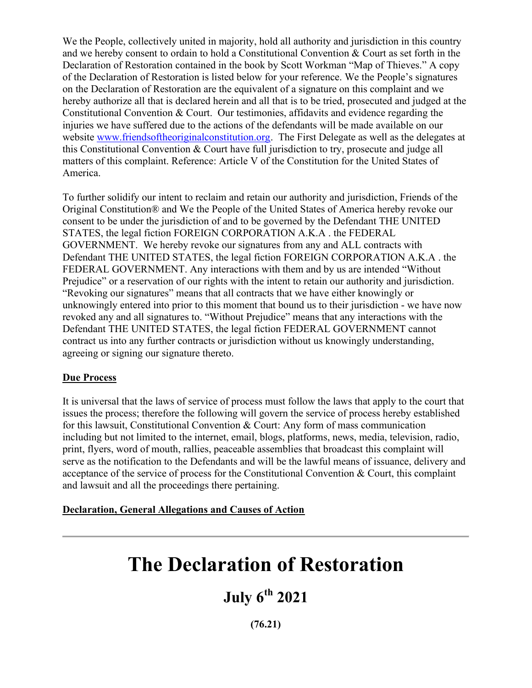We the People, collectively united in majority, hold all authority and jurisdiction in this country and we hereby consent to ordain to hold a Constitutional Convention & Court as set forth in the Declaration of Restoration contained in the book by Scott Workman "Map of Thieves." A copy of the Declaration of Restoration is listed below for your reference. We the People's signatures on the Declaration of Restoration are the equivalent of a signature on this complaint and we hereby authorize all that is declared herein and all that is to be tried, prosecuted and judged at the Constitutional Convention & Court. Our testimonies, affidavits and evidence regarding the injuries we have suffered due to the actions of the defendants will be made available on our website www.friendsoftheoriginalconstitution.org. The First Delegate as well as the delegates at this Constitutional Convention & Court have full jurisdiction to try, prosecute and judge all matters of this complaint. Reference: Article V of the Constitution for the United States of America.

To further solidify our intent to reclaim and retain our authority and jurisdiction, Friends of the Original Constitution® and We the People of the United States of America hereby revoke our consent to be under the jurisdiction of and to be governed by the Defendant THE UNITED STATES, the legal fiction FOREIGN CORPORATION A.K.A . the FEDERAL GOVERNMENT. We hereby revoke our signatures from any and ALL contracts with Defendant THE UNITED STATES, the legal fiction FOREIGN CORPORATION A.K.A . the FEDERAL GOVERNMENT. Any interactions with them and by us are intended "Without Prejudice" or a reservation of our rights with the intent to retain our authority and jurisdiction. "Revoking our signatures" means that all contracts that we have either knowingly or unknowingly entered into prior to this moment that bound us to their jurisdiction - we have now revoked any and all signatures to. "Without Prejudice" means that any interactions with the Defendant THE UNITED STATES, the legal fiction FEDERAL GOVERNMENT cannot contract us into any further contracts or jurisdiction without us knowingly understanding, agreeing or signing our signature thereto.

#### **Due Process**

It is universal that the laws of service of process must follow the laws that apply to the court that issues the process; therefore the following will govern the service of process hereby established for this lawsuit, Constitutional Convention & Court: Any form of mass communication including but not limited to the internet, email, blogs, platforms, news, media, television, radio, print, flyers, word of mouth, rallies, peaceable assemblies that broadcast this complaint will serve as the notification to the Defendants and will be the lawful means of issuance, delivery and acceptance of the service of process for the Constitutional Convention & Court, this complaint and lawsuit and all the proceedings there pertaining.

#### **Declaration, General Allegations and Causes of Action**

# **The Declaration of Restoration**

## **July 6th 2021**

**(76.21)**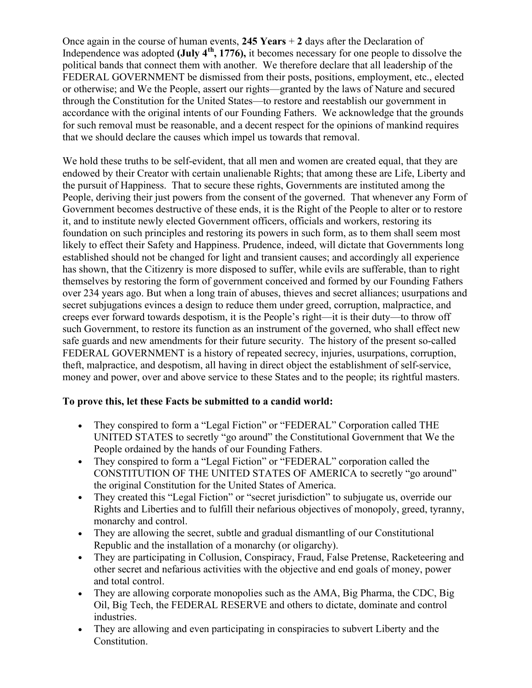Once again in the course of human events, **245 Years** + **2** days after the Declaration of Independence was adopted **(July 4th, 1776),** it becomes necessary for one people to dissolve the political bands that connect them with another. We therefore declare that all leadership of the FEDERAL GOVERNMENT be dismissed from their posts, positions, employment, etc., elected or otherwise; and We the People, assert our rights—granted by the laws of Nature and secured through the Constitution for the United States—to restore and reestablish our government in accordance with the original intents of our Founding Fathers. We acknowledge that the grounds for such removal must be reasonable, and a decent respect for the opinions of mankind requires that we should declare the causes which impel us towards that removal.

We hold these truths to be self-evident, that all men and women are created equal, that they are endowed by their Creator with certain unalienable Rights; that among these are Life, Liberty and the pursuit of Happiness. That to secure these rights, Governments are instituted among the People, deriving their just powers from the consent of the governed. That whenever any Form of Government becomes destructive of these ends, it is the Right of the People to alter or to restore it, and to institute newly elected Government officers, officials and workers, restoring its foundation on such principles and restoring its powers in such form, as to them shall seem most likely to effect their Safety and Happiness. Prudence, indeed, will dictate that Governments long established should not be changed for light and transient causes; and accordingly all experience has shown, that the Citizenry is more disposed to suffer, while evils are sufferable, than to right themselves by restoring the form of government conceived and formed by our Founding Fathers over 234 years ago. But when a long train of abuses, thieves and secret alliances; usurpations and secret subjugations evinces a design to reduce them under greed, corruption, malpractice, and creeps ever forward towards despotism, it is the People's right—it is their duty—to throw off such Government, to restore its function as an instrument of the governed, who shall effect new safe guards and new amendments for their future security. The history of the present so-called FEDERAL GOVERNMENT is a history of repeated secrecy, injuries, usurpations, corruption, theft, malpractice, and despotism, all having in direct object the establishment of self-service, money and power, over and above service to these States and to the people; its rightful masters.

#### **To prove this, let these Facts be submitted to a candid world:**

- They conspired to form a "Legal Fiction" or "FEDERAL" Corporation called THE UNITED STATES to secretly "go around" the Constitutional Government that We the People ordained by the hands of our Founding Fathers.
- They conspired to form a "Legal Fiction" or "FEDERAL" corporation called the CONSTITUTION OF THE UNITED STATES OF AMERICA to secretly "go around" the original Constitution for the United States of America.
- They created this "Legal Fiction" or "secret jurisdiction" to subjugate us, override our Rights and Liberties and to fulfill their nefarious objectives of monopoly, greed, tyranny, monarchy and control.
- They are allowing the secret, subtle and gradual dismantling of our Constitutional Republic and the installation of a monarchy (or oligarchy).
- They are participating in Collusion, Conspiracy, Fraud, False Pretense, Racketeering and other secret and nefarious activities with the objective and end goals of money, power and total control.
- They are allowing corporate monopolies such as the AMA, Big Pharma, the CDC, Big Oil, Big Tech, the FEDERAL RESERVE and others to dictate, dominate and control industries.
- They are allowing and even participating in conspiracies to subvert Liberty and the Constitution.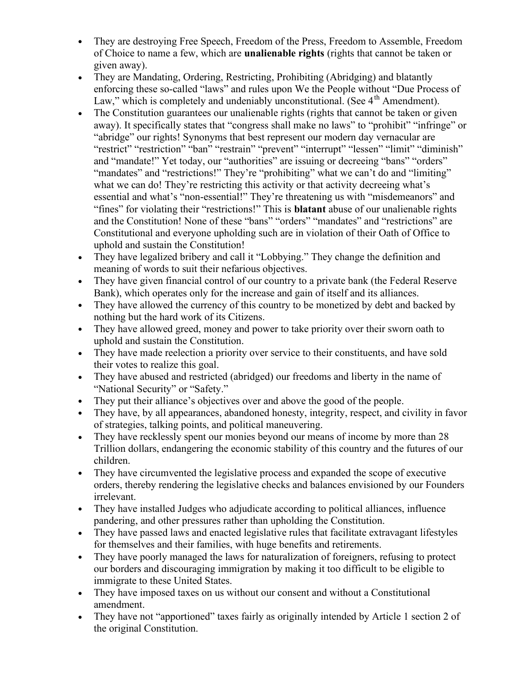- They are destroying Free Speech, Freedom of the Press, Freedom to Assemble, Freedom of Choice to name a few, which are **unalienable rights** (rights that cannot be taken or given away).
- They are Mandating, Ordering, Restricting, Prohibiting (Abridging) and blatantly enforcing these so-called "laws" and rules upon We the People without "Due Process of Law," which is completely and undeniably unconstitutional. (See  $4<sup>th</sup>$  Amendment).
- The Constitution guarantees our unalienable rights (rights that cannot be taken or given away). It specifically states that "congress shall make no laws" to "prohibit" "infringe" or "abridge" our rights! Synonyms that best represent our modern day vernacular are "restrict" "restriction" "ban" "restrain" "prevent" "interrupt" "lessen" "limit" "diminish" and "mandate!" Yet today, our "authorities" are issuing or decreeing "bans" "orders" "mandates" and "restrictions!" They're "prohibiting" what we can't do and "limiting" what we can do! They're restricting this activity or that activity decreeing what's essential and what's "non-essential!" They're threatening us with "misdemeanors" and "fines" for violating their "restrictions!" This is **blatant** abuse of our unalienable rights and the Constitution! None of these "bans" "orders" "mandates" and "restrictions" are Constitutional and everyone upholding such are in violation of their Oath of Office to uphold and sustain the Constitution!
- They have legalized bribery and call it "Lobbying." They change the definition and meaning of words to suit their nefarious objectives.
- They have given financial control of our country to a private bank (the Federal Reserve Bank), which operates only for the increase and gain of itself and its alliances.
- They have allowed the currency of this country to be monetized by debt and backed by nothing but the hard work of its Citizens.
- They have allowed greed, money and power to take priority over their sworn oath to uphold and sustain the Constitution.
- They have made reelection a priority over service to their constituents, and have sold their votes to realize this goal.
- They have abused and restricted (abridged) our freedoms and liberty in the name of "National Security" or "Safety."
- They put their alliance's objectives over and above the good of the people.
- They have, by all appearances, abandoned honesty, integrity, respect, and civility in favor of strategies, talking points, and political maneuvering.
- They have recklessly spent our monies beyond our means of income by more than 28 Trillion dollars, endangering the economic stability of this country and the futures of our children.
- They have circumvented the legislative process and expanded the scope of executive orders, thereby rendering the legislative checks and balances envisioned by our Founders irrelevant.
- They have installed Judges who adjudicate according to political alliances, influence pandering, and other pressures rather than upholding the Constitution.
- They have passed laws and enacted legislative rules that facilitate extravagant lifestyles for themselves and their families, with huge benefits and retirements.
- They have poorly managed the laws for naturalization of foreigners, refusing to protect our borders and discouraging immigration by making it too difficult to be eligible to immigrate to these United States.
- They have imposed taxes on us without our consent and without a Constitutional amendment.
- They have not "apportioned" taxes fairly as originally intended by Article 1 section 2 of the original Constitution.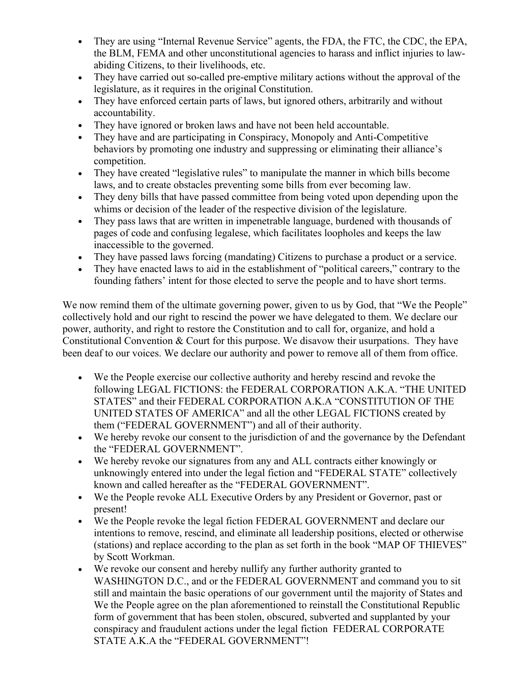- They are using "Internal Revenue Service" agents, the FDA, the FTC, the CDC, the EPA, the BLM, FEMA and other unconstitutional agencies to harass and inflict injuries to lawabiding Citizens, to their livelihoods, etc.
- They have carried out so-called pre-emptive military actions without the approval of the legislature, as it requires in the original Constitution.
- They have enforced certain parts of laws, but ignored others, arbitrarily and without accountability.
- They have ignored or broken laws and have not been held accountable.
- They have and are participating in Conspiracy, Monopoly and Anti-Competitive behaviors by promoting one industry and suppressing or eliminating their alliance's competition.
- They have created "legislative rules" to manipulate the manner in which bills become laws, and to create obstacles preventing some bills from ever becoming law.
- They deny bills that have passed committee from being voted upon depending upon the whims or decision of the leader of the respective division of the legislature.
- They pass laws that are written in impenetrable language, burdened with thousands of pages of code and confusing legalese, which facilitates loopholes and keeps the law inaccessible to the governed.
- They have passed laws forcing (mandating) Citizens to purchase a product or a service.
- They have enacted laws to aid in the establishment of "political careers," contrary to the founding fathers' intent for those elected to serve the people and to have short terms.

We now remind them of the ultimate governing power, given to us by God, that "We the People" collectively hold and our right to rescind the power we have delegated to them. We declare our power, authority, and right to restore the Constitution and to call for, organize, and hold a Constitutional Convention & Court for this purpose. We disavow their usurpations. They have been deaf to our voices. We declare our authority and power to remove all of them from office.

- We the People exercise our collective authority and hereby rescind and revoke the following LEGAL FICTIONS: the FEDERAL CORPORATION A.K.A. "THE UNITED STATES" and their FEDERAL CORPORATION A.K.A "CONSTITUTION OF THE UNITED STATES OF AMERICA" and all the other LEGAL FICTIONS created by them ("FEDERAL GOVERNMENT") and all of their authority.
- We hereby revoke our consent to the jurisdiction of and the governance by the Defendant the "FEDERAL GOVERNMENT".
- We hereby revoke our signatures from any and ALL contracts either knowingly or unknowingly entered into under the legal fiction and "FEDERAL STATE" collectively known and called hereafter as the "FEDERAL GOVERNMENT".
- We the People revoke ALL Executive Orders by any President or Governor, past or present!
- We the People revoke the legal fiction FEDERAL GOVERNMENT and declare our intentions to remove, rescind, and eliminate all leadership positions, elected or otherwise (stations) and replace according to the plan as set forth in the book "MAP OF THIEVES" by Scott Workman.
- We revoke our consent and hereby nullify any further authority granted to WASHINGTON D.C., and or the FEDERAL GOVERNMENT and command you to sit still and maintain the basic operations of our government until the majority of States and We the People agree on the plan aforementioned to reinstall the Constitutional Republic form of government that has been stolen, obscured, subverted and supplanted by your conspiracy and fraudulent actions under the legal fiction FEDERAL CORPORATE STATE A.K.A the "FEDERAL GOVERNMENT"!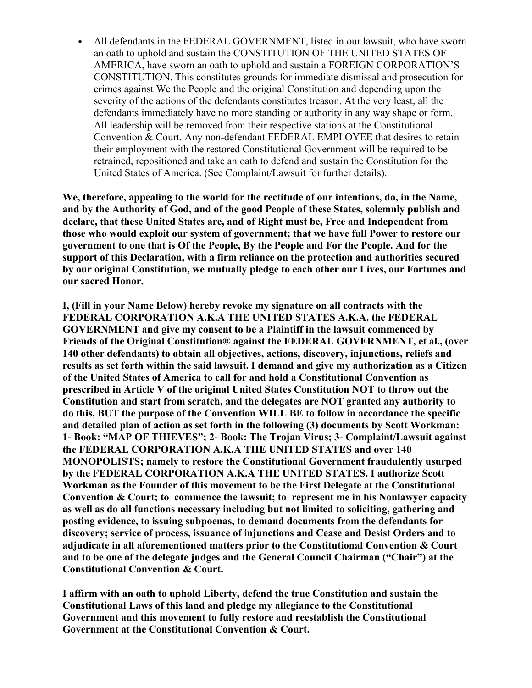All defendants in the FEDERAL GOVERNMENT, listed in our lawsuit, who have sworn an oath to uphold and sustain the CONSTITUTION OF THE UNITED STATES OF AMERICA, have sworn an oath to uphold and sustain a FOREIGN CORPORATION'S CONSTITUTION. This constitutes grounds for immediate dismissal and prosecution for crimes against We the People and the original Constitution and depending upon the severity of the actions of the defendants constitutes treason. At the very least, all the defendants immediately have no more standing or authority in any way shape or form. All leadership will be removed from their respective stations at the Constitutional Convention & Court. Any non-defendant FEDERAL EMPLOYEE that desires to retain their employment with the restored Constitutional Government will be required to be retrained, repositioned and take an oath to defend and sustain the Constitution for the United States of America. (See Complaint/Lawsuit for further details).

**We, therefore, appealing to the world for the rectitude of our intentions, do, in the Name, and by the Authority of God, and of the good People of these States, solemnly publish and declare, that these United States are, and of Right must be, Free and Independent from those who would exploit our system of government; that we have full Power to restore our government to one that is Of the People, By the People and For the People. And for the support of this Declaration, with a firm reliance on the protection and authorities secured by our original Constitution, we mutually pledge to each other our Lives, our Fortunes and our sacred Honor.** 

**I, (Fill in your Name Below) hereby revoke my signature on all contracts with the FEDERAL CORPORATION A.K.A THE UNITED STATES A.K.A. the FEDERAL GOVERNMENT and give my consent to be a Plaintiff in the lawsuit commenced by Friends of the Original Constitution® against the FEDERAL GOVERNMENT, et al., (over 140 other defendants) to obtain all objectives, actions, discovery, injunctions, reliefs and results as set forth within the said lawsuit. I demand and give my authorization as a Citizen of the United States of America to call for and hold a Constitutional Convention as prescribed in Article V of the original United States Constitution NOT to throw out the Constitution and start from scratch, and the delegates are NOT granted any authority to do this, BUT the purpose of the Convention WILL BE to follow in accordance the specific and detailed plan of action as set forth in the following (3) documents by Scott Workman: 1- Book: "MAP OF THIEVES"; 2- Book: The Trojan Virus; 3- Complaint/Lawsuit against the FEDERAL CORPORATION A.K.A THE UNITED STATES and over 140 MONOPOLISTS; namely to restore the Constitutional Government fraudulently usurped by the FEDERAL CORPORATION A.K.A THE UNITED STATES. I authorize Scott Workman as the Founder of this movement to be the First Delegate at the Constitutional Convention & Court; to commence the lawsuit; to represent me in his Nonlawyer capacity as well as do all functions necessary including but not limited to soliciting, gathering and posting evidence, to issuing subpoenas, to demand documents from the defendants for discovery; service of process, issuance of injunctions and Cease and Desist Orders and to adjudicate in all aforementioned matters prior to the Constitutional Convention & Court and to be one of the delegate judges and the General Council Chairman ("Chair") at the Constitutional Convention & Court.**

**I affirm with an oath to uphold Liberty, defend the true Constitution and sustain the Constitutional Laws of this land and pledge my allegiance to the Constitutional Government and this movement to fully restore and reestablish the Constitutional Government at the Constitutional Convention & Court.**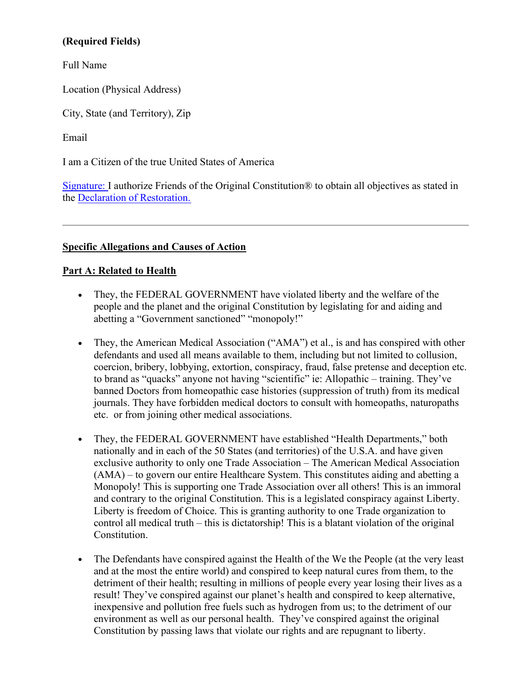#### **(Required Fields)**

Full Name

Location (Physical Address)

City, State (and Territory), Zip

Email

I am a Citizen of the true United States of America

Signature: I authorize Friends of the Original Constitution® to obtain all objectives as stated in the Declaration of Restoration.

#### **Specific Allegations and Causes of Action**

#### **Part A: Related to Health**

- They, the FEDERAL GOVERNMENT have violated liberty and the welfare of the people and the planet and the original Constitution by legislating for and aiding and abetting a "Government sanctioned" "monopoly!"
- They, the American Medical Association ("AMA") et al., is and has conspired with other defendants and used all means available to them, including but not limited to collusion, coercion, bribery, lobbying, extortion, conspiracy, fraud, false pretense and deception etc. to brand as "quacks" anyone not having "scientific" ie: Allopathic – training. They've banned Doctors from homeopathic case histories (suppression of truth) from its medical journals. They have forbidden medical doctors to consult with homeopaths, naturopaths etc. or from joining other medical associations.
- They, the FEDERAL GOVERNMENT have established "Health Departments," both nationally and in each of the 50 States (and territories) of the U.S.A. and have given exclusive authority to only one Trade Association – The American Medical Association (AMA) – to govern our entire Healthcare System. This constitutes aiding and abetting a Monopoly! This is supporting one Trade Association over all others! This is an immoral and contrary to the original Constitution. This is a legislated conspiracy against Liberty. Liberty is freedom of Choice. This is granting authority to one Trade organization to control all medical truth – this is dictatorship! This is a blatant violation of the original Constitution.
- The Defendants have conspired against the Health of the We the People (at the very least and at the most the entire world) and conspired to keep natural cures from them, to the detriment of their health; resulting in millions of people every year losing their lives as a result! They've conspired against our planet's health and conspired to keep alternative, inexpensive and pollution free fuels such as hydrogen from us; to the detriment of our environment as well as our personal health. They've conspired against the original Constitution by passing laws that violate our rights and are repugnant to liberty.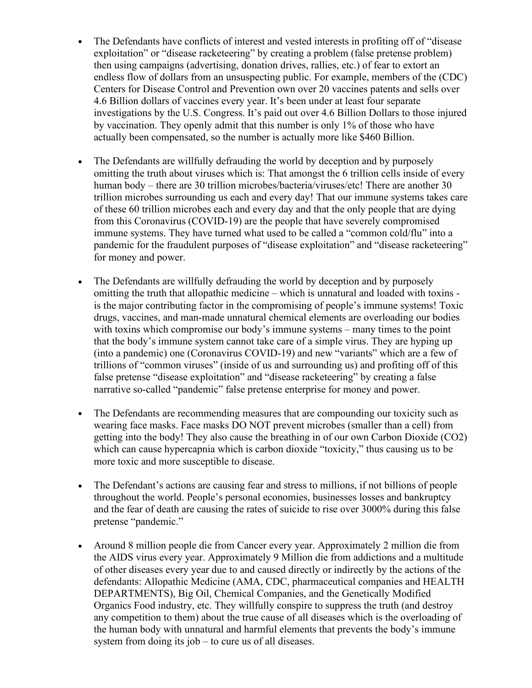- The Defendants have conflicts of interest and vested interests in profiting off of "disease exploitation" or "disease racketeering" by creating a problem (false pretense problem) then using campaigns (advertising, donation drives, rallies, etc.) of fear to extort an endless flow of dollars from an unsuspecting public. For example, members of the (CDC) Centers for Disease Control and Prevention own over 20 vaccines patents and sells over 4.6 Billion dollars of vaccines every year. It's been under at least four separate investigations by the U.S. Congress. It's paid out over 4.6 Billion Dollars to those injured by vaccination. They openly admit that this number is only 1% of those who have actually been compensated, so the number is actually more like \$460 Billion.
- The Defendants are willfully defrauding the world by deception and by purposely omitting the truth about viruses which is: That amongst the 6 trillion cells inside of every human body – there are 30 trillion microbes/bacteria/viruses/etc! There are another 30 trillion microbes surrounding us each and every day! That our immune systems takes care of these 60 trillion microbes each and every day and that the only people that are dying from this Coronavirus (COVID-19) are the people that have severely compromised immune systems. They have turned what used to be called a "common cold/flu" into a pandemic for the fraudulent purposes of "disease exploitation" and "disease racketeering" for money and power.
- The Defendants are willfully defrauding the world by deception and by purposely omitting the truth that allopathic medicine – which is unnatural and loaded with toxins is the major contributing factor in the compromising of people's immune systems! Toxic drugs, vaccines, and man-made unnatural chemical elements are overloading our bodies with toxins which compromise our body's immune systems – many times to the point that the body's immune system cannot take care of a simple virus. They are hyping up (into a pandemic) one (Coronavirus COVID-19) and new "variants" which are a few of trillions of "common viruses" (inside of us and surrounding us) and profiting off of this false pretense "disease exploitation" and "disease racketeering" by creating a false narrative so-called "pandemic" false pretense enterprise for money and power.
- The Defendants are recommending measures that are compounding our toxicity such as wearing face masks. Face masks DO NOT prevent microbes (smaller than a cell) from getting into the body! They also cause the breathing in of our own Carbon Dioxide (CO2) which can cause hypercapnia which is carbon dioxide "toxicity," thus causing us to be more toxic and more susceptible to disease.
- The Defendant's actions are causing fear and stress to millions, if not billions of people throughout the world. People's personal economies, businesses losses and bankruptcy and the fear of death are causing the rates of suicide to rise over 3000% during this false pretense "pandemic."
- Around 8 million people die from Cancer every year. Approximately 2 million die from the AIDS virus every year. Approximately 9 Million die from addictions and a multitude of other diseases every year due to and caused directly or indirectly by the actions of the defendants: Allopathic Medicine (AMA, CDC, pharmaceutical companies and HEALTH DEPARTMENTS), Big Oil, Chemical Companies, and the Genetically Modified Organics Food industry, etc. They willfully conspire to suppress the truth (and destroy any competition to them) about the true cause of all diseases which is the overloading of the human body with unnatural and harmful elements that prevents the body's immune system from doing its job – to cure us of all diseases.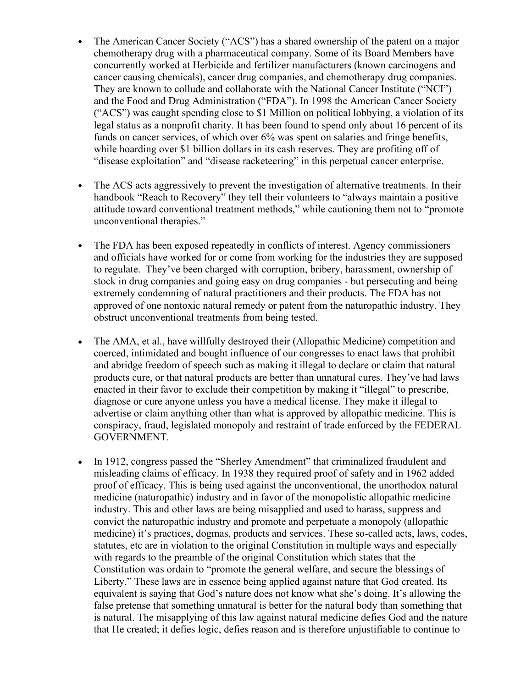- The American Cancer Society ("ACS") has a shared ownership of the patent on a major chemotherapy drug with a pharmaceutical company. Some of its Board Members have concurrently worked at Herbicide and fertilizer manufacturers (known carcinogens and cancer causing chemicals), cancer drug companies, and chemotherapy drug companies. They are known to collude and collaborate with the National Cancer Institute ("NCI") and the Food and Drug Administration ("FDA"). In 1998 the American Cancer Society ("ACS") was caught spending close to \$1 Million on political lobbying, a violation of its legal status as a nonprofit charity. It has been found to spend only about 16 percent of its funds on cancer services, of which over 6% was spent on salaries and fringe benefits, while hoarding over \$1 billion dollars in its cash reserves. They are profiting off of "disease exploitation" and "disease racketeering" in this perpetual cancer enterprise.
- The ACS acts aggressively to prevent the investigation of alternative treatments. In their handbook "Reach to Recovery" they tell their volunteers to "always maintain a positive attitude toward conventional treatment methods," while cautioning them not to "promote unconventional therapies."
- The FDA has been exposed repeatedly in conflicts of interest. Agency commissioners and officials have worked for or come from working for the industries they are supposed to regulate. They've been charged with corruption, bribery, harassment, ownership of stock in drug companies and going easy on drug companies - but persecuting and being extremely condemning of natural practitioners and their products. The FDA has not approved of one nontoxic natural remedy or patent from the naturopathic industry. They obstruct unconventional treatments from being tested.
- The AMA, et al., have willfully destroyed their (Allopathic Medicine) competition and coerced, intimidated and bought influence of our congresses to enact laws that prohibit and abridge freedom of speech such as making it illegal to declare or claim that natural products cure, or that natural products are better than unnatural cures. They've had laws enacted in their favor to exclude their competition by making it "illegal" to prescribe, diagnose or cure anyone unless you have a medical license. They make it illegal to advertise or claim anything other than what is approved by allopathic medicine. This is conspiracy, fraud, legislated monopoly and restraint of trade enforced by the FEDERAL GOVERNMENT.
- In 1912, congress passed the "Sherley Amendment" that criminalized fraudulent and misleading claims of efficacy. In 1938 they required proof of safety and in 1962 added proof of efficacy. This is being used against the unconventional, the unorthodox natural medicine (naturopathic) industry and in favor of the monopolistic allopathic medicine industry. This and other laws are being misapplied and used to harass, suppress and convict the naturopathic industry and promote and perpetuate a monopoly (allopathic medicine) it's practices, dogmas, products and services. These so-called acts, laws, codes, statutes, etc are in violation to the original Constitution in multiple ways and especially with regards to the preamble of the original Constitution which states that the Constitution was ordain to "promote the general welfare, and secure the blessings of Liberty." These laws are in essence being applied against nature that God created. Its equivalent is saying that God's nature does not know what she's doing. It's allowing the false pretense that something unnatural is better for the natural body than something that is natural. The misapplying of this law against natural medicine defies God and the nature that He created; it defies logic, defies reason and is therefore unjustifiable to continue to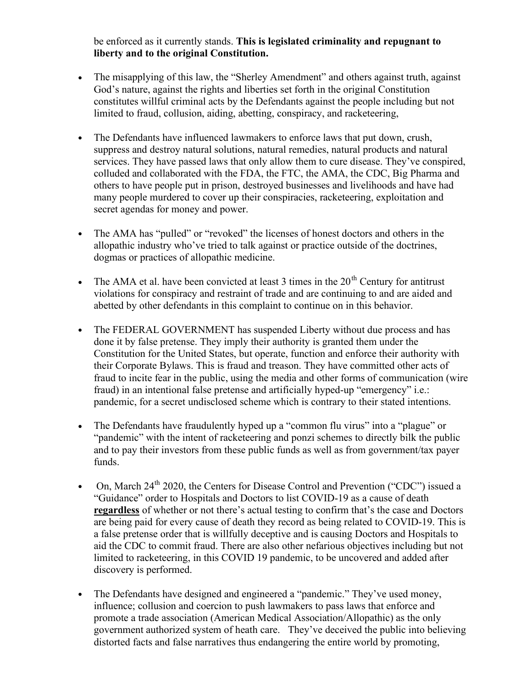be enforced as it currently stands. **This is legislated criminality and repugnant to liberty and to the original Constitution.**

- The misapplying of this law, the "Sherley Amendment" and others against truth, against God's nature, against the rights and liberties set forth in the original Constitution constitutes willful criminal acts by the Defendants against the people including but not limited to fraud, collusion, aiding, abetting, conspiracy, and racketeering,
- The Defendants have influenced lawmakers to enforce laws that put down, crush, suppress and destroy natural solutions, natural remedies, natural products and natural services. They have passed laws that only allow them to cure disease. They've conspired, colluded and collaborated with the FDA, the FTC, the AMA, the CDC, Big Pharma and others to have people put in prison, destroyed businesses and livelihoods and have had many people murdered to cover up their conspiracies, racketeering, exploitation and secret agendas for money and power.
- The AMA has "pulled" or "revoked" the licenses of honest doctors and others in the allopathic industry who've tried to talk against or practice outside of the doctrines, dogmas or practices of allopathic medicine.
- The AMA et al. have been convicted at least 3 times in the  $20<sup>th</sup>$  Century for antitrust violations for conspiracy and restraint of trade and are continuing to and are aided and abetted by other defendants in this complaint to continue on in this behavior.
- The FEDERAL GOVERNMENT has suspended Liberty without due process and has done it by false pretense. They imply their authority is granted them under the Constitution for the United States, but operate, function and enforce their authority with their Corporate Bylaws. This is fraud and treason. They have committed other acts of fraud to incite fear in the public, using the media and other forms of communication (wire fraud) in an intentional false pretense and artificially hyped-up "emergency" i.e.: pandemic, for a secret undisclosed scheme which is contrary to their stated intentions.
- The Defendants have fraudulently hyped up a "common flu virus" into a "plague" or "pandemic" with the intent of racketeering and ponzi schemes to directly bilk the public and to pay their investors from these public funds as well as from government/tax payer funds.
- On, March  $24^{th}$  2020, the Centers for Disease Control and Prevention ("CDC") issued a "Guidance" order to Hospitals and Doctors to list COVID-19 as a cause of death **regardless** of whether or not there's actual testing to confirm that's the case and Doctors are being paid for every cause of death they record as being related to COVID-19. This is a false pretense order that is willfully deceptive and is causing Doctors and Hospitals to aid the CDC to commit fraud. There are also other nefarious objectives including but not limited to racketeering, in this COVID 19 pandemic, to be uncovered and added after discovery is performed.
- The Defendants have designed and engineered a "pandemic." They've used money, influence; collusion and coercion to push lawmakers to pass laws that enforce and promote a trade association (American Medical Association/Allopathic) as the only government authorized system of heath care. They've deceived the public into believing distorted facts and false narratives thus endangering the entire world by promoting,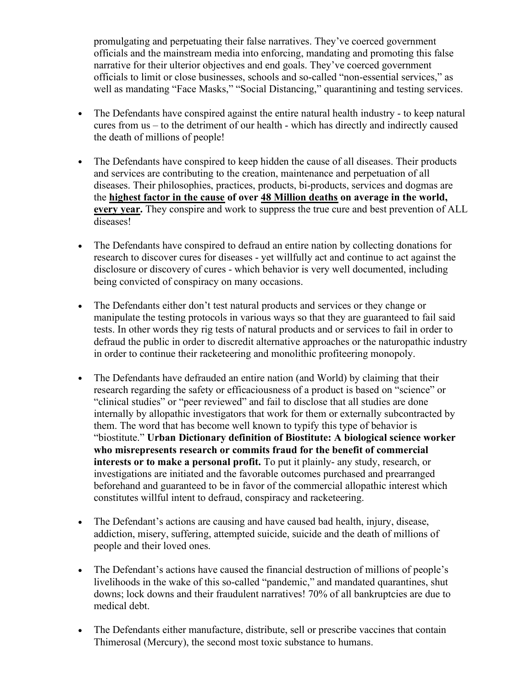promulgating and perpetuating their false narratives. They've coerced government officials and the mainstream media into enforcing, mandating and promoting this false narrative for their ulterior objectives and end goals. They've coerced government officials to limit or close businesses, schools and so-called "non-essential services," as well as mandating "Face Masks," "Social Distancing," quarantining and testing services.

- The Defendants have conspired against the entire natural health industry to keep natural cures from us – to the detriment of our health - which has directly and indirectly caused the death of millions of people!
- The Defendants have conspired to keep hidden the cause of all diseases. Their products and services are contributing to the creation, maintenance and perpetuation of all diseases. Their philosophies, practices, products, bi-products, services and dogmas are the **highest factor in the cause of over 48 Million deaths on average in the world, every year.** They conspire and work to suppress the true cure and best prevention of ALL diseases!
- The Defendants have conspired to defraud an entire nation by collecting donations for research to discover cures for diseases - yet willfully act and continue to act against the disclosure or discovery of cures - which behavior is very well documented, including being convicted of conspiracy on many occasions.
- The Defendants either don't test natural products and services or they change or manipulate the testing protocols in various ways so that they are guaranteed to fail said tests. In other words they rig tests of natural products and or services to fail in order to defraud the public in order to discredit alternative approaches or the naturopathic industry in order to continue their racketeering and monolithic profiteering monopoly.
- The Defendants have defrauded an entire nation (and World) by claiming that their research regarding the safety or efficaciousness of a product is based on "science" or "clinical studies" or "peer reviewed" and fail to disclose that all studies are done internally by allopathic investigators that work for them or externally subcontracted by them. The word that has become well known to typify this type of behavior is "biostitute." **Urban Dictionary definition of Biostitute: A biological science worker who misrepresents research or commits fraud for the benefit of commercial interests or to make a personal profit.** To put it plainly- any study, research, or investigations are initiated and the favorable outcomes purchased and prearranged beforehand and guaranteed to be in favor of the commercial allopathic interest which constitutes willful intent to defraud, conspiracy and racketeering.
- The Defendant's actions are causing and have caused bad health, injury, disease, addiction, misery, suffering, attempted suicide, suicide and the death of millions of people and their loved ones.
- The Defendant's actions have caused the financial destruction of millions of people's livelihoods in the wake of this so-called "pandemic," and mandated quarantines, shut downs; lock downs and their fraudulent narratives! 70% of all bankruptcies are due to medical debt.
- The Defendants either manufacture, distribute, sell or prescribe vaccines that contain Thimerosal (Mercury), the second most toxic substance to humans.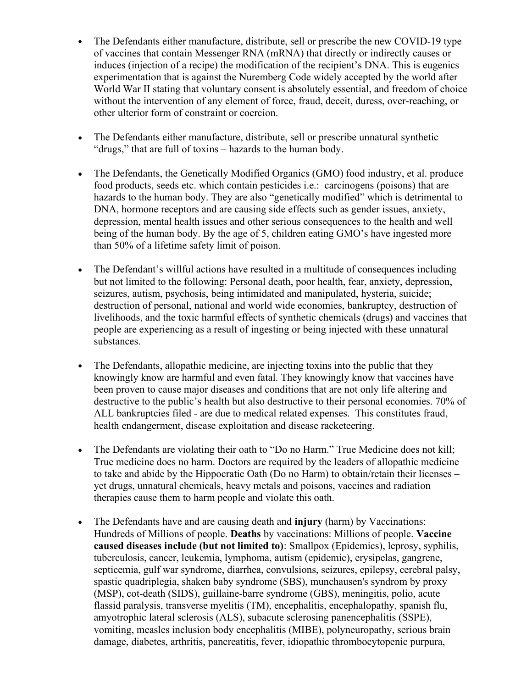- The Defendants either manufacture, distribute, sell or prescribe the new COVID-19 type of vaccines that contain Messenger RNA (mRNA) that directly or indirectly causes or induces (injection of a recipe) the modification of the recipient's DNA. This is eugenics experimentation that is against the Nuremberg Code widely accepted by the world after World War II stating that voluntary consent is absolutely essential, and freedom of choice without the intervention of any element of force, fraud, deceit, duress, over-reaching, or other ulterior form of constraint or coercion.
- The Defendants either manufacture, distribute, sell or prescribe unnatural synthetic "drugs," that are full of toxins – hazards to the human body.
- The Defendants, the Genetically Modified Organics (GMO) food industry, et al. produce food products, seeds etc. which contain pesticides i.e.: carcinogens (poisons) that are hazards to the human body. They are also "genetically modified" which is detrimental to DNA, hormone receptors and are causing side effects such as gender issues, anxiety, depression, mental health issues and other serious consequences to the health and well being of the human body. By the age of 5, children eating GMO's have ingested more than 50% of a lifetime safety limit of poison.
- The Defendant's willful actions have resulted in a multitude of consequences including but not limited to the following: Personal death, poor health, fear, anxiety, depression, seizures, autism, psychosis, being intimidated and manipulated, hysteria, suicide; destruction of personal, national and world wide economies, bankruptcy, destruction of livelihoods, and the toxic harmful effects of synthetic chemicals (drugs) and vaccines that people are experiencing as a result of ingesting or being injected with these unnatural substances.
- The Defendants, allopathic medicine, are injecting toxins into the public that they knowingly know are harmful and even fatal. They knowingly know that vaccines have been proven to cause major diseases and conditions that are not only life altering and destructive to the public's health but also destructive to their personal economies. 70% of ALL bankruptcies filed - are due to medical related expenses. This constitutes fraud, health endangerment, disease exploitation and disease racketeering.
- The Defendants are violating their oath to "Do no Harm." True Medicine does not kill; True medicine does no harm. Doctors are required by the leaders of allopathic medicine to take and abide by the Hippocratic Oath (Do no Harm) to obtain/retain their licenses – yet drugs, unnatural chemicals, heavy metals and poisons, vaccines and radiation therapies cause them to harm people and violate this oath.
- The Defendants have and are causing death and **injury** (harm) by Vaccinations: Hundreds of Millions of people. **Deaths** by vaccinations: Millions of people. **Vaccine caused diseases include (but not limited to)**: Smallpox (Epidemics), leprosy, syphilis, tuberculosis, cancer, leukemia, lymphoma, autism (epidemic), erysipelas, gangrene, septicemia, gulf war syndrome, diarrhea, convulsions, seizures, epilepsy, cerebral palsy, spastic quadriplegia, shaken baby syndrome (SBS), munchausen's syndrom by proxy (MSP), cot-death (SIDS), guillaine-barre syndrome (GBS), meningitis, polio, acute flassid paralysis, transverse myelitis (TM), encephalitis, encephalopathy, spanish flu, amyotrophic lateral sclerosis (ALS), subacute sclerosing panencephalitis (SSPE), vomiting, measles inclusion body encephalitis (MIBE), polyneuropathy, serious brain damage, diabetes, arthritis, pancreatitis, fever, idiopathic thrombocytopenic purpura,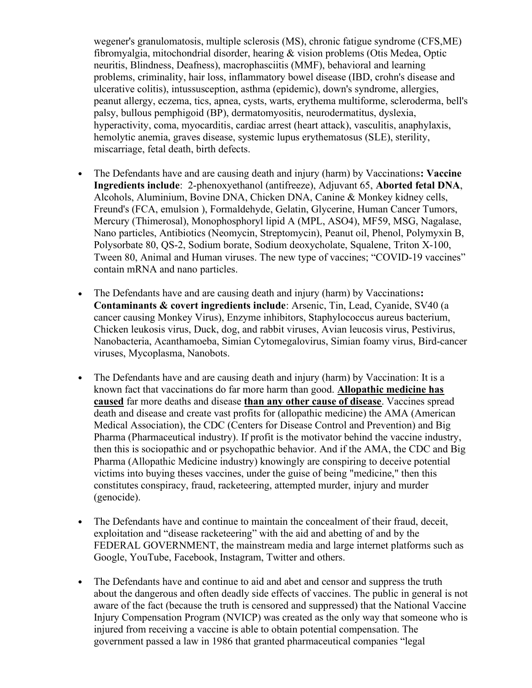wegener's granulomatosis, multiple sclerosis (MS), chronic fatigue syndrome (CFS,ME) fibromyalgia, mitochondrial disorder, hearing & vision problems (Otis Medea, Optic neuritis, Blindness, Deafness), macrophasciitis (MMF), behavioral and learning problems, criminality, hair loss, inflammatory bowel disease (IBD, crohn's disease and ulcerative colitis), intussusception, asthma (epidemic), down's syndrome, allergies, peanut allergy, eczema, tics, apnea, cysts, warts, erythema multiforme, scleroderma, bell's palsy, bullous pemphigoid (BP), dermatomyositis, neurodermatitus, dyslexia, hyperactivity, coma, myocarditis, cardiac arrest (heart attack), vasculitis, anaphylaxis, hemolytic anemia, graves disease, systemic lupus erythematosus (SLE), sterility, miscarriage, fetal death, birth defects.

- The Defendants have and are causing death and injury (harm) by Vaccinations**: Vaccine Ingredients include**: 2-phenoxyethanol (antifreeze), Adjuvant 65, **Aborted fetal DNA**, Alcohols, Aluminium, Bovine DNA, Chicken DNA, Canine & Monkey kidney cells, Freund's (FCA, emulsion ), Formaldehyde, Gelatin, Glycerine, Human Cancer Tumors, Mercury (Thimerosal), Monophosphoryl lipid A (MPL, ASO4), MF59, MSG, Nagalase, Nano particles, Antibiotics (Neomycin, Streptomycin), Peanut oil, Phenol, Polymyxin B, Polysorbate 80, QS-2, Sodium borate, Sodium deoxycholate, Squalene, Triton X-100, Tween 80, Animal and Human viruses. The new type of vaccines; "COVID-19 vaccines" contain mRNA and nano particles.
- The Defendants have and are causing death and injury (harm) by Vaccinations**: Contaminants & covert ingredients include**: Arsenic, Tin, Lead, Cyanide, SV40 (a cancer causing Monkey Virus), Enzyme inhibitors, Staphylococcus aureus bacterium, Chicken leukosis virus, Duck, dog, and rabbit viruses, Avian leucosis virus, Pestivirus, Nanobacteria, Acanthamoeba, Simian Cytomegalovirus, Simian foamy virus, Bird-cancer viruses, Mycoplasma, Nanobots.
- The Defendants have and are causing death and injury (harm) by Vaccination: It is a known fact that vaccinations do far more harm than good. **Allopathic medicine has caused** far more deaths and disease **than any other cause of disease**. Vaccines spread death and disease and create vast profits for (allopathic medicine) the AMA (American Medical Association), the CDC (Centers for Disease Control and Prevention) and Big Pharma (Pharmaceutical industry). If profit is the motivator behind the vaccine industry, then this is sociopathic and or psychopathic behavior. And if the AMA, the CDC and Big Pharma (Allopathic Medicine industry) knowingly are conspiring to deceive potential victims into buying theses vaccines, under the guise of being "medicine," then this constitutes conspiracy, fraud, racketeering, attempted murder, injury and murder (genocide).
- The Defendants have and continue to maintain the concealment of their fraud, deceit, exploitation and "disease racketeering" with the aid and abetting of and by the FEDERAL GOVERNMENT, the mainstream media and large internet platforms such as Google, YouTube, Facebook, Instagram, Twitter and others.
- The Defendants have and continue to aid and abet and censor and suppress the truth about the dangerous and often deadly side effects of vaccines. The public in general is not aware of the fact (because the truth is censored and suppressed) that the National Vaccine Injury Compensation Program (NVICP) was created as the only way that someone who is injured from receiving a vaccine is able to obtain potential compensation. The government passed a law in 1986 that granted pharmaceutical companies "legal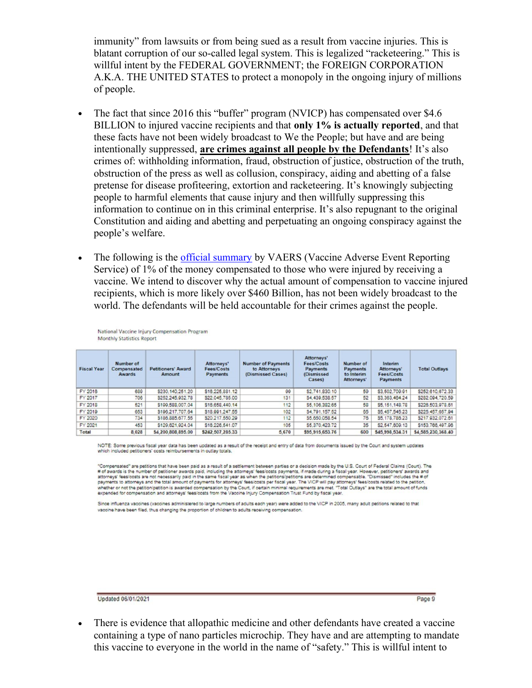immunity" from lawsuits or from being sued as a result from vaccine injuries. This is blatant corruption of our so-called legal system. This is legalized "racketeering." This is willful intent by the FEDERAL GOVERNMENT; the FOREIGN CORPORATION A.K.A. THE UNITED STATES to protect a monopoly in the ongoing injury of millions of people.

- The fact that since 2016 this "buffer" program (NVICP) has compensated over \$4.6 BILLION to injured vaccine recipients and that **only 1% is actually reported**, and that these facts have not been widely broadcast to We the People; but have and are being intentionally suppressed, **are crimes against all people by the Defendants**! It's also crimes of: withholding information, fraud, obstruction of justice, obstruction of the truth, obstruction of the press as well as collusion, conspiracy, aiding and abetting of a false pretense for disease profiteering, extortion and racketeering. It's knowingly subjecting people to harmful elements that cause injury and then willfully suppressing this information to continue on in this criminal enterprise. It's also repugnant to the original Constitution and aiding and abetting and perpetuating an ongoing conspiracy against the people's welfare.
- The following is the official summary by VAERS (Vaccine Adverse Event Reporting Service) of 1% of the money compensated to those who were injured by receiving a vaccine. We intend to discover why the actual amount of compensation to vaccine injured recipients, which is more likely over \$460 Billion, has not been widely broadcast to the world. The defendants will be held accountable for their crimes against the people.

National Vaccine Injury Compensation Program **Monthly Statistics Report** 

| <b>Fiscal Year</b> | Number of<br>Compensated<br><b>Awards</b> | <b>Petitioners' Award</b><br>Amount | Attorneys'<br>Fees/Costs<br>Payments | <b>Number of Payments</b><br>to Attorneys<br>(Dismissed Cases) | Attorneys'<br>Fees/Costs<br><b>Payments</b><br><b>(Dismissed</b><br>Cases) | Number of<br><b>Payments</b><br>to Interim<br><b>Attorneys'</b> | Interim<br>Attorneys'<br>Fees/Costs<br>Payments | <b>Total Outlays</b> |
|--------------------|-------------------------------------------|-------------------------------------|--------------------------------------|----------------------------------------------------------------|----------------------------------------------------------------------------|-----------------------------------------------------------------|-------------------------------------------------|----------------------|
| FY 2016            | 689                                       | \$230,140,251.20                    | \$16,225,881.12                      | 99                                                             | \$2,741,830.10                                                             | 59                                                              | \$3,502,709.91                                  | \$252,610,672.33     |
| FY 2017            | 706                                       | \$252,245,932.78                    | \$22,045,785.00                      | 131                                                            | \$4,439,538.57                                                             | 52                                                              | \$3,363,464.24                                  | \$282,094,720.59     |
| FY 2018            | 521                                       | \$199,588,007.04                    | \$16,658,440.14                      | 112                                                            | \$5,106,382.65                                                             | 58                                                              | \$5,151,148.78                                  | \$226,503,978.61     |
| FY 2019            | 653                                       | \$196,217,707.64                    | \$18,991,247.55                      | 102                                                            | \$4,791,157.52                                                             | 65                                                              | \$5,457,545.23                                  | \$225,457,657.94     |
| FY 2020            | 734                                       | \$186,885,677.55                    | \$20.217,550.29                      | 112                                                            | \$5,650,058.54                                                             | 76                                                              | \$5,178,786.23                                  | \$217,932,072.61     |
| FY 2021            | 453                                       | \$129,621,924.04                    | \$16,226,541.07                      | 105                                                            | \$5,370,423.72                                                             | 35                                                              | \$2,547,609.13                                  | \$153,766,497.96     |
| Total              | 8,028                                     | \$4,200,808,895.00                  | \$242.507.285.33                     | 5,670                                                          | \$95,915,653.76                                                            | 600                                                             | \$45,998,534.31                                 | \$4,585,230,368,40   |

NOTE: Some previous fiscal year data has been updated as a result of the receipt and entry of data from documents issued by the Court and system updates which included petitioners' costs reimbursements in outlay totals

"Compensated" are petitions that have been paid as a result of a settlement between parties or a decision made by the U.S. Court of Federal Claims (Court). The only and a state of petitioner awards paid, including the attorneys' fees/costs payments, if made during a fiscal year. However, petitioners' awards and<br>attorneys' fees/costs are not necessarily paid in the same fiscal yea whether or not the petition/petition is awarded compensation by the Court, if certain minimal requirements are met. "Total Outlays" are the total amount of funds<br>expended for compensation and attorneys' fees/costs from the

Since influenza vaccines (vaccines administered to large numbers of adults each year) were added to the VICP in 2005, many adult petitions related to that vaccine have been filed, thus changing the proportion of children to adults receiving compensation.

Updated 06/01/2021

Page 9

 There is evidence that allopathic medicine and other defendants have created a vaccine containing a type of nano particles microchip. They have and are attempting to mandate this vaccine to everyone in the world in the name of "safety." This is willful intent to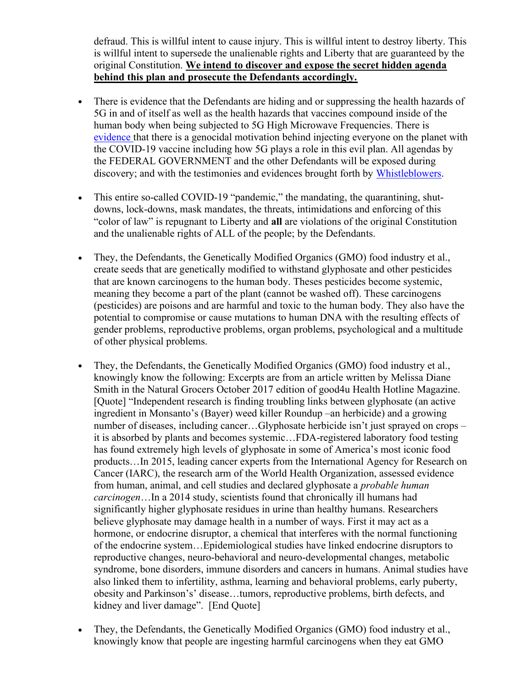defraud. This is willful intent to cause injury. This is willful intent to destroy liberty. This is willful intent to supersede the unalienable rights and Liberty that are guaranteed by the original Constitution. **We intend to discover and expose the secret hidden agenda behind this plan and prosecute the Defendants accordingly.**

- There is evidence that the Defendants are hiding and or suppressing the health hazards of 5G in and of itself as well as the health hazards that vaccines compound inside of the human body when being subjected to 5G High Microwave Frequencies. There is evidence that there is a genocidal motivation behind injecting everyone on the planet with the COVID-19 vaccine including how 5G plays a role in this evil plan. All agendas by the FEDERAL GOVERNMENT and the other Defendants will be exposed during discovery; and with the testimonies and evidences brought forth by Whistleblowers.
- This entire so-called COVID-19 "pandemic," the mandating, the quarantining, shutdowns, lock-downs, mask mandates, the threats, intimidations and enforcing of this "color of law" is repugnant to Liberty and **all** are violations of the original Constitution and the unalienable rights of ALL of the people; by the Defendants.
- They, the Defendants, the Genetically Modified Organics (GMO) food industry et al., create seeds that are genetically modified to withstand glyphosate and other pesticides that are known carcinogens to the human body. Theses pesticides become systemic, meaning they become a part of the plant (cannot be washed off). These carcinogens (pesticides) are poisons and are harmful and toxic to the human body. They also have the potential to compromise or cause mutations to human DNA with the resulting effects of gender problems, reproductive problems, organ problems, psychological and a multitude of other physical problems.
- They, the Defendants, the Genetically Modified Organics (GMO) food industry et al., knowingly know the following: Excerpts are from an article written by Melissa Diane Smith in the Natural Grocers October 2017 edition of good4u Health Hotline Magazine. [Quote] "Independent research is finding troubling links between glyphosate (an active ingredient in Monsanto's (Bayer) weed killer Roundup –an herbicide) and a growing number of diseases, including cancer…Glyphosate herbicide isn't just sprayed on crops – it is absorbed by plants and becomes systemic…FDA-registered laboratory food testing has found extremely high levels of glyphosate in some of America's most iconic food products…In 2015, leading cancer experts from the International Agency for Research on Cancer (IARC), the research arm of the World Health Organization, assessed evidence from human, animal, and cell studies and declared glyphosate a *probable human carcinogen*…In a 2014 study, scientists found that chronically ill humans had significantly higher glyphosate residues in urine than healthy humans. Researchers believe glyphosate may damage health in a number of ways. First it may act as a hormone, or endocrine disruptor, a chemical that interferes with the normal functioning of the endocrine system…Epidemiological studies have linked endocrine disruptors to reproductive changes, neuro-behavioral and neuro-developmental changes, metabolic syndrome, bone disorders, immune disorders and cancers in humans. Animal studies have also linked them to infertility, asthma, learning and behavioral problems, early puberty, obesity and Parkinson's' disease…tumors, reproductive problems, birth defects, and kidney and liver damage". [End Quote]
- They, the Defendants, the Genetically Modified Organics (GMO) food industry et al., knowingly know that people are ingesting harmful carcinogens when they eat GMO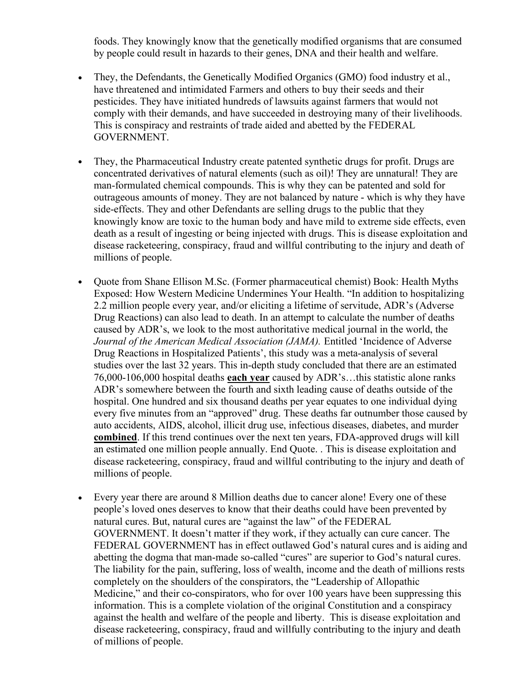foods. They knowingly know that the genetically modified organisms that are consumed by people could result in hazards to their genes, DNA and their health and welfare.

- They, the Defendants, the Genetically Modified Organics (GMO) food industry et al., have threatened and intimidated Farmers and others to buy their seeds and their pesticides. They have initiated hundreds of lawsuits against farmers that would not comply with their demands, and have succeeded in destroying many of their livelihoods. This is conspiracy and restraints of trade aided and abetted by the FEDERAL GOVERNMENT.
- They, the Pharmaceutical Industry create patented synthetic drugs for profit. Drugs are concentrated derivatives of natural elements (such as oil)! They are unnatural! They are man-formulated chemical compounds. This is why they can be patented and sold for outrageous amounts of money. They are not balanced by nature - which is why they have side-effects. They and other Defendants are selling drugs to the public that they knowingly know are toxic to the human body and have mild to extreme side effects, even death as a result of ingesting or being injected with drugs. This is disease exploitation and disease racketeering, conspiracy, fraud and willful contributing to the injury and death of millions of people.
- Quote from Shane Ellison M.Sc. (Former pharmaceutical chemist) Book: Health Myths Exposed: How Western Medicine Undermines Your Health. "In addition to hospitalizing 2.2 million people every year, and/or eliciting a lifetime of servitude, ADR's (Adverse Drug Reactions) can also lead to death. In an attempt to calculate the number of deaths caused by ADR's, we look to the most authoritative medical journal in the world, the *Journal of the American Medical Association (JAMA).* Entitled 'Incidence of Adverse Drug Reactions in Hospitalized Patients', this study was a meta-analysis of several studies over the last 32 years. This in-depth study concluded that there are an estimated 76,000-106,000 hospital deaths **each year** caused by ADR's…this statistic alone ranks ADR's somewhere between the fourth and sixth leading cause of deaths outside of the hospital. One hundred and six thousand deaths per year equates to one individual dying every five minutes from an "approved" drug. These deaths far outnumber those caused by auto accidents, AIDS, alcohol, illicit drug use, infectious diseases, diabetes, and murder **combined**. If this trend continues over the next ten years, FDA-approved drugs will kill an estimated one million people annually. End Quote. . This is disease exploitation and disease racketeering, conspiracy, fraud and willful contributing to the injury and death of millions of people.
- Every year there are around 8 Million deaths due to cancer alone! Every one of these people's loved ones deserves to know that their deaths could have been prevented by natural cures. But, natural cures are "against the law" of the FEDERAL GOVERNMENT. It doesn't matter if they work, if they actually can cure cancer. The FEDERAL GOVERNMENT has in effect outlawed God's natural cures and is aiding and abetting the dogma that man-made so-called "cures" are superior to God's natural cures. The liability for the pain, suffering, loss of wealth, income and the death of millions rests completely on the shoulders of the conspirators, the "Leadership of Allopathic Medicine," and their co-conspirators, who for over 100 years have been suppressing this information. This is a complete violation of the original Constitution and a conspiracy against the health and welfare of the people and liberty. This is disease exploitation and disease racketeering, conspiracy, fraud and willfully contributing to the injury and death of millions of people.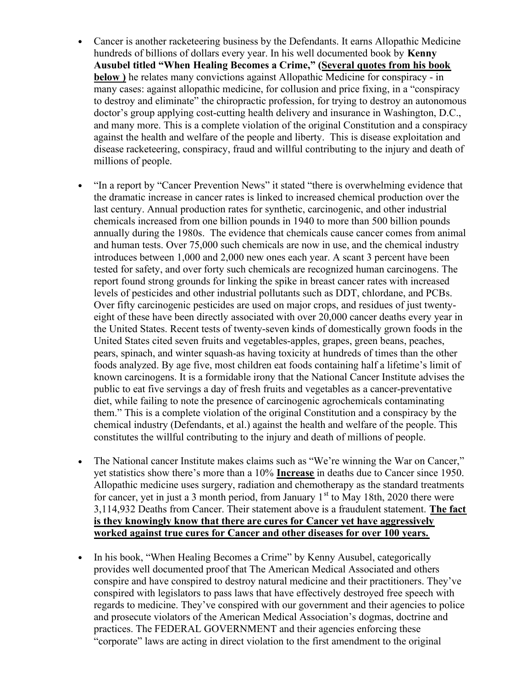- Cancer is another racketeering business by the Defendants. It earns Allopathic Medicine hundreds of billions of dollars every year. In his well documented book by **Kenny Ausubel titled "When Healing Becomes a Crime," (Several quotes from his book below )** he relates many convictions against Allopathic Medicine for conspiracy - in many cases: against allopathic medicine, for collusion and price fixing, in a "conspiracy to destroy and eliminate" the chiropractic profession, for trying to destroy an autonomous doctor's group applying cost-cutting health delivery and insurance in Washington, D.C., and many more. This is a complete violation of the original Constitution and a conspiracy against the health and welfare of the people and liberty. This is disease exploitation and disease racketeering, conspiracy, fraud and willful contributing to the injury and death of millions of people.
- "In a report by "Cancer Prevention News" it stated "there is overwhelming evidence that the dramatic increase in cancer rates is linked to increased chemical production over the last century. Annual production rates for synthetic, carcinogenic, and other industrial chemicals increased from one billion pounds in 1940 to more than 500 billion pounds annually during the 1980s. The evidence that chemicals cause cancer comes from animal and human tests. Over 75,000 such chemicals are now in use, and the chemical industry introduces between 1,000 and 2,000 new ones each year. A scant 3 percent have been tested for safety, and over forty such chemicals are recognized human carcinogens. The report found strong grounds for linking the spike in breast cancer rates with increased levels of pesticides and other industrial pollutants such as DDT, chlordane, and PCBs. Over fifty carcinogenic pesticides are used on major crops, and residues of just twentyeight of these have been directly associated with over 20,000 cancer deaths every year in the United States. Recent tests of twenty-seven kinds of domestically grown foods in the United States cited seven fruits and vegetables-apples, grapes, green beans, peaches, pears, spinach, and winter squash-as having toxicity at hundreds of times than the other foods analyzed. By age five, most children eat foods containing half a lifetime's limit of known carcinogens. It is a formidable irony that the National Cancer Institute advises the public to eat five servings a day of fresh fruits and vegetables as a cancer-preventative diet, while failing to note the presence of carcinogenic agrochemicals contaminating them." This is a complete violation of the original Constitution and a conspiracy by the chemical industry (Defendants, et al.) against the health and welfare of the people. This constitutes the willful contributing to the injury and death of millions of people.
- The National cancer Institute makes claims such as "We're winning the War on Cancer," yet statistics show there's more than a 10% **Increase** in deaths due to Cancer since 1950. Allopathic medicine uses surgery, radiation and chemotherapy as the standard treatments for cancer, yet in just a 3 month period, from January  $1<sup>st</sup>$  to May 18th, 2020 there were 3,114,932 Deaths from Cancer. Their statement above is a fraudulent statement. **The fact is they knowingly know that there are cures for Cancer yet have aggressively worked against true cures for Cancer and other diseases for over 100 years.**
- In his book, "When Healing Becomes a Crime" by Kenny Ausubel, categorically provides well documented proof that The American Medical Associated and others conspire and have conspired to destroy natural medicine and their practitioners. They've conspired with legislators to pass laws that have effectively destroyed free speech with regards to medicine. They've conspired with our government and their agencies to police and prosecute violators of the American Medical Association's dogmas, doctrine and practices. The FEDERAL GOVERNMENT and their agencies enforcing these "corporate" laws are acting in direct violation to the first amendment to the original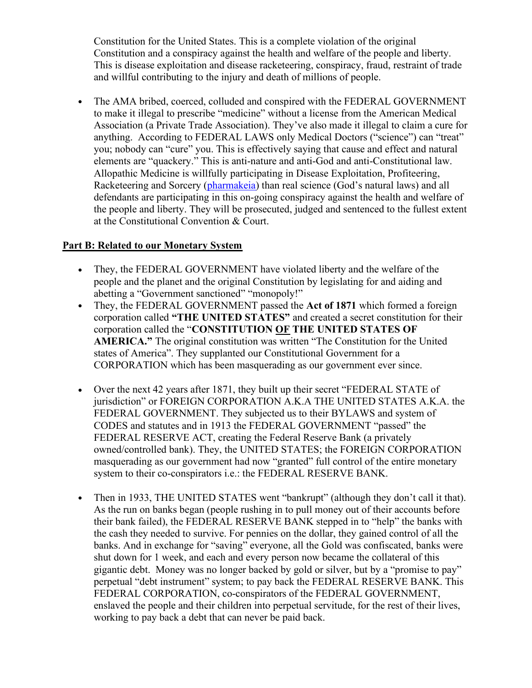Constitution for the United States. This is a complete violation of the original Constitution and a conspiracy against the health and welfare of the people and liberty. This is disease exploitation and disease racketeering, conspiracy, fraud, restraint of trade and willful contributing to the injury and death of millions of people.

 The AMA bribed, coerced, colluded and conspired with the FEDERAL GOVERNMENT to make it illegal to prescribe "medicine" without a license from the American Medical Association (a Private Trade Association). They've also made it illegal to claim a cure for anything. According to FEDERAL LAWS only Medical Doctors ("science") can "treat" you; nobody can "cure" you. This is effectively saying that cause and effect and natural elements are "quackery." This is anti-nature and anti-God and anti-Constitutional law. Allopathic Medicine is willfully participating in Disease Exploitation, Profiteering, Racketeering and Sorcery (pharmakeia) than real science (God's natural laws) and all defendants are participating in this on-going conspiracy against the health and welfare of the people and liberty. They will be prosecuted, judged and sentenced to the fullest extent at the Constitutional Convention & Court.

#### **Part B: Related to our Monetary System**

- They, the FEDERAL GOVERNMENT have violated liberty and the welfare of the people and the planet and the original Constitution by legislating for and aiding and abetting a "Government sanctioned" "monopoly!"
- They, the FEDERAL GOVERNMENT passed the **Act of 1871** which formed a foreign corporation called **"THE UNITED STATES"** and created a secret constitution for their corporation called the "**CONSTITUTION OF THE UNITED STATES OF AMERICA."** The original constitution was written "The Constitution for the United states of America". They supplanted our Constitutional Government for a CORPORATION which has been masquerading as our government ever since.
- Over the next 42 years after 1871, they built up their secret "FEDERAL STATE of jurisdiction" or FOREIGN CORPORATION A.K.A THE UNITED STATES A.K.A. the FEDERAL GOVERNMENT. They subjected us to their BYLAWS and system of CODES and statutes and in 1913 the FEDERAL GOVERNMENT "passed" the FEDERAL RESERVE ACT, creating the Federal Reserve Bank (a privately owned/controlled bank). They, the UNITED STATES; the FOREIGN CORPORATION masquerading as our government had now "granted" full control of the entire monetary system to their co-conspirators i.e.: the FEDERAL RESERVE BANK.
- Then in 1933, THE UNITED STATES went "bankrupt" (although they don't call it that). As the run on banks began (people rushing in to pull money out of their accounts before their bank failed), the FEDERAL RESERVE BANK stepped in to "help" the banks with the cash they needed to survive. For pennies on the dollar, they gained control of all the banks. And in exchange for "saving" everyone, all the Gold was confiscated, banks were shut down for 1 week, and each and every person now became the collateral of this gigantic debt. Money was no longer backed by gold or silver, but by a "promise to pay" perpetual "debt instrument" system; to pay back the FEDERAL RESERVE BANK. This FEDERAL CORPORATION, co-conspirators of the FEDERAL GOVERNMENT, enslaved the people and their children into perpetual servitude, for the rest of their lives, working to pay back a debt that can never be paid back.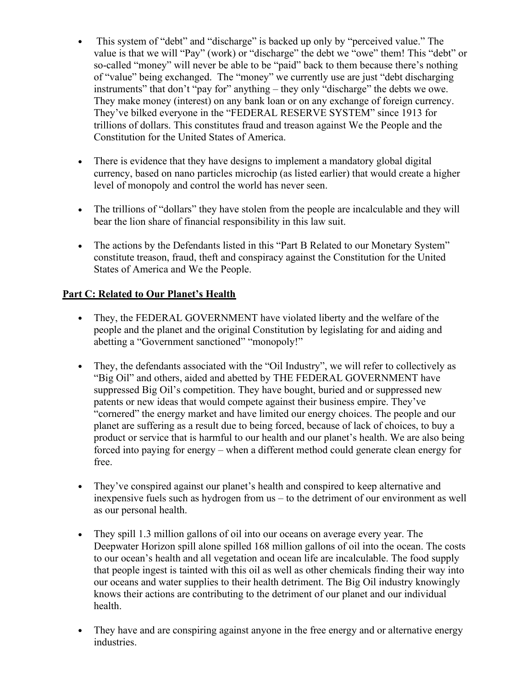- This system of "debt" and "discharge" is backed up only by "perceived value." The value is that we will "Pay" (work) or "discharge" the debt we "owe" them! This "debt" or so-called "money" will never be able to be "paid" back to them because there's nothing of "value" being exchanged. The "money" we currently use are just "debt discharging instruments" that don't "pay for" anything – they only "discharge" the debts we owe. They make money (interest) on any bank loan or on any exchange of foreign currency. They've bilked everyone in the "FEDERAL RESERVE SYSTEM" since 1913 for trillions of dollars. This constitutes fraud and treason against We the People and the Constitution for the United States of America.
- There is evidence that they have designs to implement a mandatory global digital currency, based on nano particles microchip (as listed earlier) that would create a higher level of monopoly and control the world has never seen.
- The trillions of "dollars" they have stolen from the people are incalculable and they will bear the lion share of financial responsibility in this law suit.
- The actions by the Defendants listed in this "Part B Related to our Monetary System" constitute treason, fraud, theft and conspiracy against the Constitution for the United States of America and We the People.

#### **Part C: Related to Our Planet's Health**

- They, the FEDERAL GOVERNMENT have violated liberty and the welfare of the people and the planet and the original Constitution by legislating for and aiding and abetting a "Government sanctioned" "monopoly!"
- They, the defendants associated with the "Oil Industry", we will refer to collectively as "Big Oil" and others, aided and abetted by THE FEDERAL GOVERNMENT have suppressed Big Oil's competition. They have bought, buried and or suppressed new patents or new ideas that would compete against their business empire. They've "cornered" the energy market and have limited our energy choices. The people and our planet are suffering as a result due to being forced, because of lack of choices, to buy a product or service that is harmful to our health and our planet's health. We are also being forced into paying for energy – when a different method could generate clean energy for free.
- They've conspired against our planet's health and conspired to keep alternative and inexpensive fuels such as hydrogen from us – to the detriment of our environment as well as our personal health.
- They spill 1.3 million gallons of oil into our oceans on average every year. The Deepwater Horizon spill alone spilled 168 million gallons of oil into the ocean. The costs to our ocean's health and all vegetation and ocean life are incalculable. The food supply that people ingest is tainted with this oil as well as other chemicals finding their way into our oceans and water supplies to their health detriment. The Big Oil industry knowingly knows their actions are contributing to the detriment of our planet and our individual health.
- They have and are conspiring against anyone in the free energy and or alternative energy industries.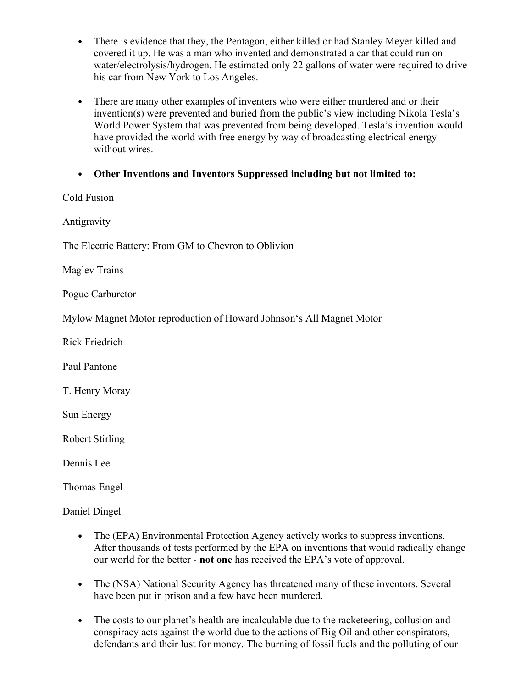- There is evidence that they, the Pentagon, either killed or had Stanley Meyer killed and covered it up. He was a man who invented and demonstrated a car that could run on water/electrolysis/hydrogen. He estimated only 22 gallons of water were required to drive his car from New York to Los Angeles.
- There are many other examples of inventers who were either murdered and or their invention(s) were prevented and buried from the public's view including Nikola Tesla's World Power System that was prevented from being developed. Tesla's invention would have provided the world with free energy by way of broadcasting electrical energy without wires.
- **Other Inventions and Inventors Suppressed including but not limited to:**

Cold Fusion

Antigravity

The Electric Battery: From GM to Chevron to Oblivion

Maglev Trains

Pogue Carburetor

Mylow Magnet Motor reproduction of Howard Johnson's All Magnet Motor

Rick Friedrich

Paul Pantone

T. Henry Moray

Sun Energy

Robert Stirling

Dennis Lee

Thomas Engel

Daniel Dingel

- The (EPA) Environmental Protection Agency actively works to suppress inventions. After thousands of tests performed by the EPA on inventions that would radically change our world for the better - **not one** has received the EPA's vote of approval.
- The (NSA) National Security Agency has threatened many of these inventors. Several have been put in prison and a few have been murdered.
- The costs to our planet's health are incalculable due to the racketeering, collusion and conspiracy acts against the world due to the actions of Big Oil and other conspirators, defendants and their lust for money. The burning of fossil fuels and the polluting of our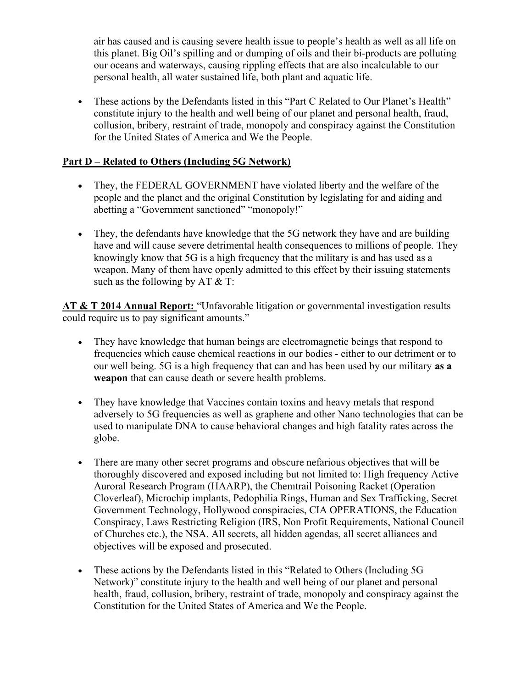air has caused and is causing severe health issue to people's health as well as all life on this planet. Big Oil's spilling and or dumping of oils and their bi-products are polluting our oceans and waterways, causing rippling effects that are also incalculable to our personal health, all water sustained life, both plant and aquatic life.

• These actions by the Defendants listed in this "Part C Related to Our Planet's Health" constitute injury to the health and well being of our planet and personal health, fraud, collusion, bribery, restraint of trade, monopoly and conspiracy against the Constitution for the United States of America and We the People.

#### **Part D – Related to Others (Including 5G Network)**

- They, the FEDERAL GOVERNMENT have violated liberty and the welfare of the people and the planet and the original Constitution by legislating for and aiding and abetting a "Government sanctioned" "monopoly!"
- They, the defendants have knowledge that the 5G network they have and are building have and will cause severe detrimental health consequences to millions of people. They knowingly know that 5G is a high frequency that the military is and has used as a weapon. Many of them have openly admitted to this effect by their issuing statements such as the following by AT  $&$  T:

**AT & T 2014 Annual Report:** "Unfavorable litigation or governmental investigation results could require us to pay significant amounts."

- They have knowledge that human beings are electromagnetic beings that respond to frequencies which cause chemical reactions in our bodies - either to our detriment or to our well being. 5G is a high frequency that can and has been used by our military **as a weapon** that can cause death or severe health problems.
- They have knowledge that Vaccines contain toxins and heavy metals that respond adversely to 5G frequencies as well as graphene and other Nano technologies that can be used to manipulate DNA to cause behavioral changes and high fatality rates across the globe.
- There are many other secret programs and obscure nefarious objectives that will be thoroughly discovered and exposed including but not limited to: High frequency Active Auroral Research Program (HAARP), the Chemtrail Poisoning Racket (Operation Cloverleaf), Microchip implants, Pedophilia Rings, Human and Sex Trafficking, Secret Government Technology, Hollywood conspiracies, CIA OPERATIONS, the Education Conspiracy, Laws Restricting Religion (IRS, Non Profit Requirements, National Council of Churches etc.), the NSA. All secrets, all hidden agendas, all secret alliances and objectives will be exposed and prosecuted.
- These actions by the Defendants listed in this "Related to Others (Including 5G Network)" constitute injury to the health and well being of our planet and personal health, fraud, collusion, bribery, restraint of trade, monopoly and conspiracy against the Constitution for the United States of America and We the People.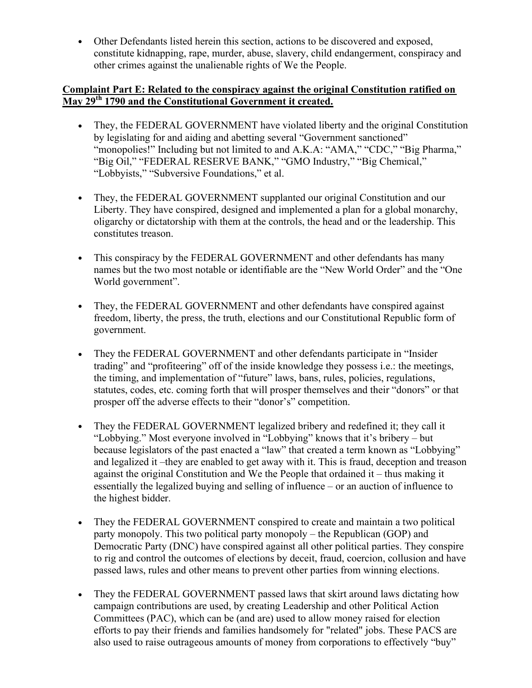Other Defendants listed herein this section, actions to be discovered and exposed, constitute kidnapping, rape, murder, abuse, slavery, child endangerment, conspiracy and other crimes against the unalienable rights of We the People.

#### **Complaint Part E: Related to the conspiracy against the original Constitution ratified on May 29th 1790 and the Constitutional Government it created.**

- They, the FEDERAL GOVERNMENT have violated liberty and the original Constitution by legislating for and aiding and abetting several "Government sanctioned" "monopolies!" Including but not limited to and A.K.A: "AMA," "CDC," "Big Pharma," "Big Oil," "FEDERAL RESERVE BANK," "GMO Industry," "Big Chemical," "Lobbyists," "Subversive Foundations," et al.
- They, the FEDERAL GOVERNMENT supplanted our original Constitution and our Liberty. They have conspired, designed and implemented a plan for a global monarchy, oligarchy or dictatorship with them at the controls, the head and or the leadership. This constitutes treason.
- This conspiracy by the FEDERAL GOVERNMENT and other defendants has many names but the two most notable or identifiable are the "New World Order" and the "One World government".
- They, the FEDERAL GOVERNMENT and other defendants have conspired against freedom, liberty, the press, the truth, elections and our Constitutional Republic form of government.
- They the FEDERAL GOVERNMENT and other defendants participate in "Insider trading" and "profiteering" off of the inside knowledge they possess i.e.: the meetings, the timing, and implementation of "future" laws, bans, rules, policies, regulations, statutes, codes, etc. coming forth that will prosper themselves and their "donors" or that prosper off the adverse effects to their "donor's" competition.
- They the FEDERAL GOVERNMENT legalized bribery and redefined it; they call it "Lobbying." Most everyone involved in "Lobbying" knows that it's bribery – but because legislators of the past enacted a "law" that created a term known as "Lobbying" and legalized it –they are enabled to get away with it. This is fraud, deception and treason against the original Constitution and We the People that ordained it – thus making it essentially the legalized buying and selling of influence – or an auction of influence to the highest bidder.
- They the FEDERAL GOVERNMENT conspired to create and maintain a two political party monopoly. This two political party monopoly – the Republican (GOP) and Democratic Party (DNC) have conspired against all other political parties. They conspire to rig and control the outcomes of elections by deceit, fraud, coercion, collusion and have passed laws, rules and other means to prevent other parties from winning elections.
- They the FEDERAL GOVERNMENT passed laws that skirt around laws dictating how campaign contributions are used, by creating Leadership and other Political Action Committees (PAC), which can be (and are) used to allow money raised for election efforts to pay their friends and families handsomely for "related" jobs. These PACS are also used to raise outrageous amounts of money from corporations to effectively "buy"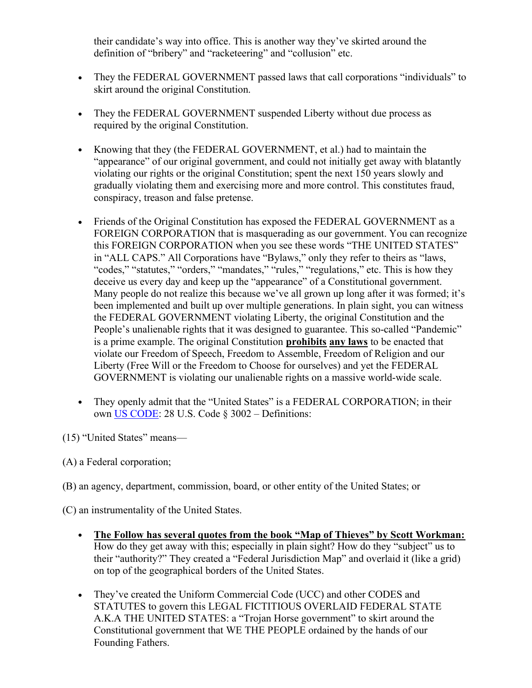their candidate's way into office. This is another way they've skirted around the definition of "bribery" and "racketeering" and "collusion" etc.

- They the FEDERAL GOVERNMENT passed laws that call corporations "individuals" to skirt around the original Constitution.
- They the FEDERAL GOVERNMENT suspended Liberty without due process as required by the original Constitution.
- Knowing that they (the FEDERAL GOVERNMENT, et al.) had to maintain the "appearance" of our original government, and could not initially get away with blatantly violating our rights or the original Constitution; spent the next 150 years slowly and gradually violating them and exercising more and more control. This constitutes fraud, conspiracy, treason and false pretense.
- Friends of the Original Constitution has exposed the FEDERAL GOVERNMENT as a FOREIGN CORPORATION that is masquerading as our government. You can recognize this FOREIGN CORPORATION when you see these words "THE UNITED STATES" in "ALL CAPS." All Corporations have "Bylaws," only they refer to theirs as "laws, "codes," "statutes," "orders," "mandates," "rules," "regulations," etc. This is how they deceive us every day and keep up the "appearance" of a Constitutional government. Many people do not realize this because we've all grown up long after it was formed; it's been implemented and built up over multiple generations. In plain sight, you can witness the FEDERAL GOVERNMENT violating Liberty, the original Constitution and the People's unalienable rights that it was designed to guarantee. This so-called "Pandemic" is a prime example. The original Constitution **prohibits any laws** to be enacted that violate our Freedom of Speech, Freedom to Assemble, Freedom of Religion and our Liberty (Free Will or the Freedom to Choose for ourselves) and yet the FEDERAL GOVERNMENT is violating our unalienable rights on a massive world-wide scale.
- They openly admit that the "United States" is a FEDERAL CORPORATION; in their own US CODE: 28 U.S. Code § 3002 – Definitions:
- (15) "United States" means—
- (A) a Federal corporation;
- (B) an agency, department, commission, board, or other entity of the United States; or
- (C) an instrumentality of the United States.
	- **The Follow has several quotes from the book "Map of Thieves" by Scott Workman:** How do they get away with this; especially in plain sight? How do they "subject" us to their "authority?" They created a "Federal Jurisdiction Map" and overlaid it (like a grid) on top of the geographical borders of the United States.
	- They've created the Uniform Commercial Code (UCC) and other CODES and STATUTES to govern this LEGAL FICTITIOUS OVERLAID FEDERAL STATE A.K.A THE UNITED STATES: a "Trojan Horse government" to skirt around the Constitutional government that WE THE PEOPLE ordained by the hands of our Founding Fathers.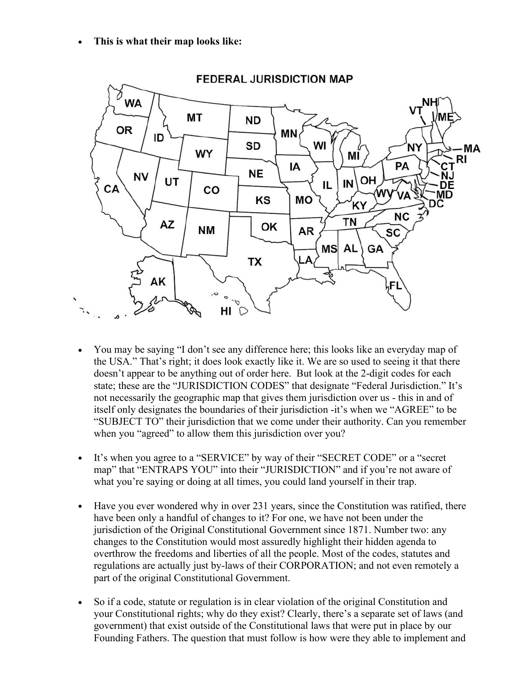#### **This is what their map looks like:**



- You may be saying "I don't see any difference here; this looks like an everyday map of the USA." That's right; it does look exactly like it. We are so used to seeing it that there doesn't appear to be anything out of order here. But look at the 2-digit codes for each state; these are the "JURISDICTION CODES" that designate "Federal Jurisdiction." It's not necessarily the geographic map that gives them jurisdiction over us - this in and of itself only designates the boundaries of their jurisdiction -it's when we "AGREE" to be "SUBJECT TO" their jurisdiction that we come under their authority. Can you remember when you "agreed" to allow them this jurisdiction over you?
- It's when you agree to a "SERVICE" by way of their "SECRET CODE" or a "secret map" that "ENTRAPS YOU" into their "JURISDICTION" and if you're not aware of what you're saying or doing at all times, you could land yourself in their trap.
- Have you ever wondered why in over 231 years, since the Constitution was ratified, there have been only a handful of changes to it? For one, we have not been under the jurisdiction of the Original Constitutional Government since 1871. Number two: any changes to the Constitution would most assuredly highlight their hidden agenda to overthrow the freedoms and liberties of all the people. Most of the codes, statutes and regulations are actually just by-laws of their CORPORATION; and not even remotely a part of the original Constitutional Government.
- So if a code, statute or regulation is in clear violation of the original Constitution and your Constitutional rights; why do they exist? Clearly, there's a separate set of laws (and government) that exist outside of the Constitutional laws that were put in place by our Founding Fathers. The question that must follow is how were they able to implement and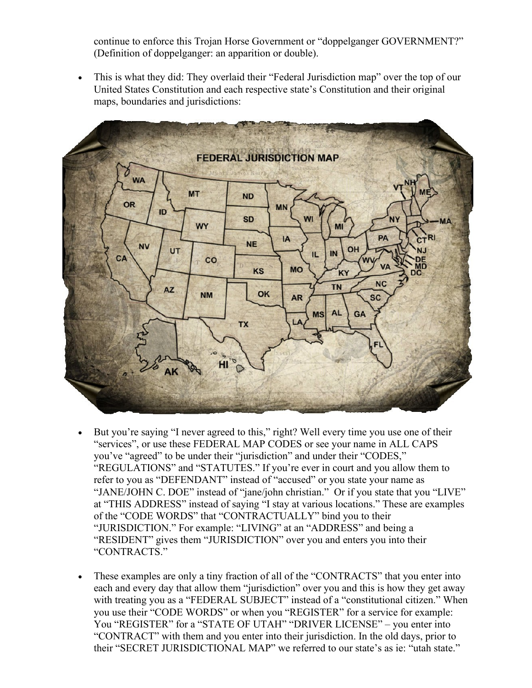continue to enforce this Trojan Horse Government or "doppelganger GOVERNMENT?" (Definition of doppelganger: an apparition or double).

 This is what they did: They overlaid their "Federal Jurisdiction map" over the top of our United States Constitution and each respective state's Constitution and their original maps, boundaries and jurisdictions:



- But you're saying "I never agreed to this," right? Well every time you use one of their "services", or use these FEDERAL MAP CODES or see your name in ALL CAPS you've "agreed" to be under their "jurisdiction" and under their "CODES," "REGULATIONS" and "STATUTES." If you're ever in court and you allow them to refer to you as "DEFENDANT" instead of "accused" or you state your name as "JANE/JOHN C. DOE" instead of "jane/john christian." Or if you state that you "LIVE" at "THIS ADDRESS" instead of saying "I stay at various locations." These are examples of the "CODE WORDS" that "CONTRACTUALLY" bind you to their "JURISDICTION." For example: "LIVING" at an "ADDRESS" and being a "RESIDENT" gives them "JURISDICTION" over you and enters you into their "CONTRACTS."
- These examples are only a tiny fraction of all of the "CONTRACTS" that you enter into each and every day that allow them "jurisdiction" over you and this is how they get away with treating you as a "FEDERAL SUBJECT" instead of a "constitutional citizen." When you use their "CODE WORDS" or when you "REGISTER" for a service for example: You "REGISTER" for a "STATE OF UTAH" "DRIVER LICENSE" – you enter into "CONTRACT" with them and you enter into their jurisdiction. In the old days, prior to their "SECRET JURISDICTIONAL MAP" we referred to our state's as ie: "utah state."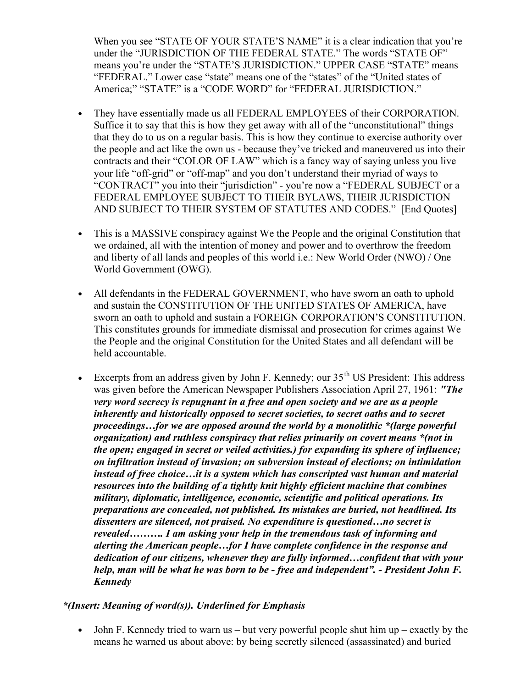When you see "STATE OF YOUR STATE'S NAME" it is a clear indication that you're under the "JURISDICTION OF THE FEDERAL STATE." The words "STATE OF" means you're under the "STATE'S JURISDICTION." UPPER CASE "STATE" means "FEDERAL." Lower case "state" means one of the "states" of the "United states of America;" "STATE" is a "CODE WORD" for "FEDERAL JURISDICTION."

- They have essentially made us all FEDERAL EMPLOYEES of their CORPORATION. Suffice it to say that this is how they get away with all of the "unconstitutional" things that they do to us on a regular basis. This is how they continue to exercise authority over the people and act like the own us - because they've tricked and maneuvered us into their contracts and their "COLOR OF LAW" which is a fancy way of saying unless you live your life "off-grid" or "off-map" and you don't understand their myriad of ways to "CONTRACT" you into their "jurisdiction" - you're now a "FEDERAL SUBJECT or a FEDERAL EMPLOYEE SUBJECT TO THEIR BYLAWS, THEIR JURISDICTION AND SUBJECT TO THEIR SYSTEM OF STATUTES AND CODES." [End Quotes]
- This is a MASSIVE conspiracy against We the People and the original Constitution that we ordained, all with the intention of money and power and to overthrow the freedom and liberty of all lands and peoples of this world i.e.: New World Order (NWO) / One World Government (OWG).
- All defendants in the FEDERAL GOVERNMENT, who have sworn an oath to uphold and sustain the CONSTITUTION OF THE UNITED STATES OF AMERICA, have sworn an oath to uphold and sustain a FOREIGN CORPORATION'S CONSTITUTION. This constitutes grounds for immediate dismissal and prosecution for crimes against We the People and the original Constitution for the United States and all defendant will be held accountable.
- Excerpts from an address given by John F. Kennedy; our  $35<sup>th</sup>$  US President: This address was given before the American Newspaper Publishers Association April 27, 1961: *"The very word secrecy is repugnant in a free and open society and we are as a people inherently and historically opposed to secret societies, to secret oaths and to secret proceedings…for we are opposed around the world by a monolithic \*(large powerful organization) and ruthless conspiracy that relies primarily on covert means \*(not in the open; engaged in secret or veiled activities.) for expanding its sphere of influence; on infiltration instead of invasion; on subversion instead of elections; on intimidation instead of free choice…it is a system which has conscripted vast human and material resources into the building of a tightly knit highly efficient machine that combines military, diplomatic, intelligence, economic, scientific and political operations. Its preparations are concealed, not published. Its mistakes are buried, not headlined. Its dissenters are silenced, not praised. No expenditure is questioned…no secret is revealed………. I am asking your help in the tremendous task of informing and alerting the American people…for I have complete confidence in the response and dedication of our citizens, whenever they are fully informed…confident that with your help, man will be what he was born to be - free and independent". - President John F. Kennedy*

#### *\*(Insert: Meaning of word(s)). Underlined for Emphasis*

 $\bullet$  John F. Kennedy tried to warn us – but very powerful people shut him up – exactly by the means he warned us about above: by being secretly silenced (assassinated) and buried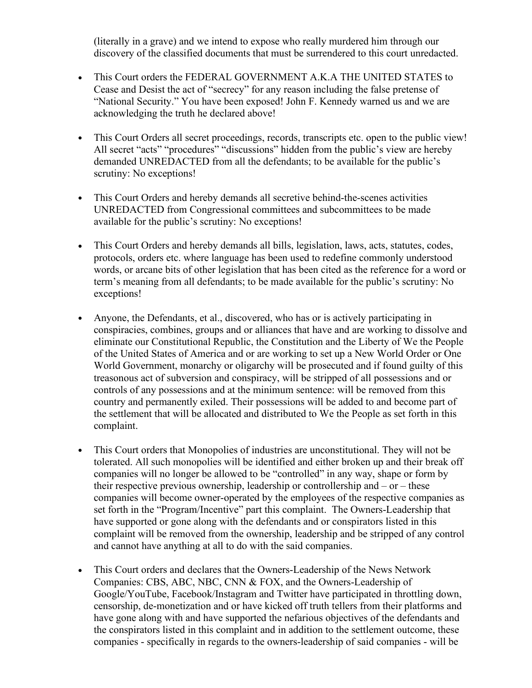(literally in a grave) and we intend to expose who really murdered him through our discovery of the classified documents that must be surrendered to this court unredacted.

- This Court orders the FEDERAL GOVERNMENT A.K.A THE UNITED STATES to Cease and Desist the act of "secrecy" for any reason including the false pretense of "National Security." You have been exposed! John F. Kennedy warned us and we are acknowledging the truth he declared above!
- This Court Orders all secret proceedings, records, transcripts etc. open to the public view! All secret "acts" "procedures" "discussions" hidden from the public's view are hereby demanded UNREDACTED from all the defendants; to be available for the public's scrutiny: No exceptions!
- This Court Orders and hereby demands all secretive behind-the-scenes activities UNREDACTED from Congressional committees and subcommittees to be made available for the public's scrutiny: No exceptions!
- This Court Orders and hereby demands all bills, legislation, laws, acts, statutes, codes, protocols, orders etc. where language has been used to redefine commonly understood words, or arcane bits of other legislation that has been cited as the reference for a word or term's meaning from all defendants; to be made available for the public's scrutiny: No exceptions!
- Anyone, the Defendants, et al., discovered, who has or is actively participating in conspiracies, combines, groups and or alliances that have and are working to dissolve and eliminate our Constitutional Republic, the Constitution and the Liberty of We the People of the United States of America and or are working to set up a New World Order or One World Government, monarchy or oligarchy will be prosecuted and if found guilty of this treasonous act of subversion and conspiracy, will be stripped of all possessions and or controls of any possessions and at the minimum sentence: will be removed from this country and permanently exiled. Their possessions will be added to and become part of the settlement that will be allocated and distributed to We the People as set forth in this complaint.
- This Court orders that Monopolies of industries are unconstitutional. They will not be tolerated. All such monopolies will be identified and either broken up and their break off companies will no longer be allowed to be "controlled" in any way, shape or form by their respective previous ownership, leadership or controllership and – or – these companies will become owner-operated by the employees of the respective companies as set forth in the "Program/Incentive" part this complaint. The Owners-Leadership that have supported or gone along with the defendants and or conspirators listed in this complaint will be removed from the ownership, leadership and be stripped of any control and cannot have anything at all to do with the said companies.
- This Court orders and declares that the Owners-Leadership of the News Network Companies: CBS, ABC, NBC, CNN & FOX, and the Owners-Leadership of Google/YouTube, Facebook/Instagram and Twitter have participated in throttling down, censorship, de-monetization and or have kicked off truth tellers from their platforms and have gone along with and have supported the nefarious objectives of the defendants and the conspirators listed in this complaint and in addition to the settlement outcome, these companies - specifically in regards to the owners-leadership of said companies - will be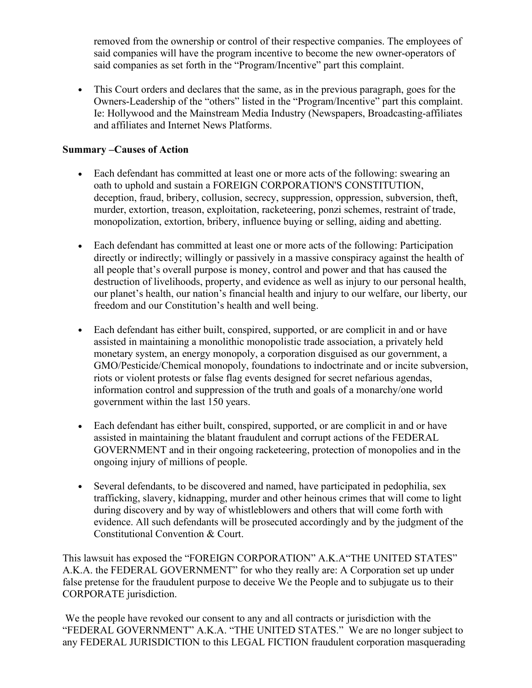removed from the ownership or control of their respective companies. The employees of said companies will have the program incentive to become the new owner-operators of said companies as set forth in the "Program/Incentive" part this complaint.

 This Court orders and declares that the same, as in the previous paragraph, goes for the Owners-Leadership of the "others" listed in the "Program/Incentive" part this complaint. Ie: Hollywood and the Mainstream Media Industry (Newspapers, Broadcasting-affiliates and affiliates and Internet News Platforms.

#### **Summary –Causes of Action**

- Each defendant has committed at least one or more acts of the following: swearing an oath to uphold and sustain a FOREIGN CORPORATION'S CONSTITUTION, deception, fraud, bribery, collusion, secrecy, suppression, oppression, subversion, theft, murder, extortion, treason, exploitation, racketeering, ponzi schemes, restraint of trade, monopolization, extortion, bribery, influence buying or selling, aiding and abetting.
- Each defendant has committed at least one or more acts of the following: Participation directly or indirectly; willingly or passively in a massive conspiracy against the health of all people that's overall purpose is money, control and power and that has caused the destruction of livelihoods, property, and evidence as well as injury to our personal health, our planet's health, our nation's financial health and injury to our welfare, our liberty, our freedom and our Constitution's health and well being.
- Each defendant has either built, conspired, supported, or are complicit in and or have assisted in maintaining a monolithic monopolistic trade association, a privately held monetary system, an energy monopoly, a corporation disguised as our government, a GMO/Pesticide/Chemical monopoly, foundations to indoctrinate and or incite subversion, riots or violent protests or false flag events designed for secret nefarious agendas, information control and suppression of the truth and goals of a monarchy/one world government within the last 150 years.
- Each defendant has either built, conspired, supported, or are complicit in and or have assisted in maintaining the blatant fraudulent and corrupt actions of the FEDERAL GOVERNMENT and in their ongoing racketeering, protection of monopolies and in the ongoing injury of millions of people.
- Several defendants, to be discovered and named, have participated in pedophilia, sex trafficking, slavery, kidnapping, murder and other heinous crimes that will come to light during discovery and by way of whistleblowers and others that will come forth with evidence. All such defendants will be prosecuted accordingly and by the judgment of the Constitutional Convention & Court.

This lawsuit has exposed the "FOREIGN CORPORATION" A.K.A"THE UNITED STATES" A.K.A. the FEDERAL GOVERNMENT" for who they really are: A Corporation set up under false pretense for the fraudulent purpose to deceive We the People and to subjugate us to their CORPORATE jurisdiction.

We the people have revoked our consent to any and all contracts or jurisdiction with the "FEDERAL GOVERNMENT" A.K.A. "THE UNITED STATES." We are no longer subject to any FEDERAL JURISDICTION to this LEGAL FICTION fraudulent corporation masquerading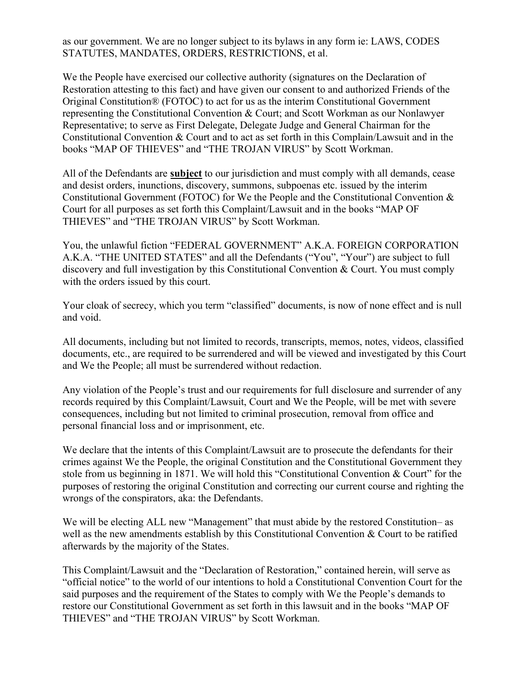as our government. We are no longer subject to its bylaws in any form ie: LAWS, CODES STATUTES, MANDATES, ORDERS, RESTRICTIONS, et al.

We the People have exercised our collective authority (signatures on the Declaration of Restoration attesting to this fact) and have given our consent to and authorized Friends of the Original Constitution® (FOTOC) to act for us as the interim Constitutional Government representing the Constitutional Convention & Court; and Scott Workman as our Nonlawyer Representative; to serve as First Delegate, Delegate Judge and General Chairman for the Constitutional Convention & Court and to act as set forth in this Complain/Lawsuit and in the books "MAP OF THIEVES" and "THE TROJAN VIRUS" by Scott Workman.

All of the Defendants are **subject** to our jurisdiction and must comply with all demands, cease and desist orders, inunctions, discovery, summons, subpoenas etc. issued by the interim Constitutional Government (FOTOC) for We the People and the Constitutional Convention & Court for all purposes as set forth this Complaint/Lawsuit and in the books "MAP OF THIEVES" and "THE TROJAN VIRUS" by Scott Workman.

You, the unlawful fiction "FEDERAL GOVERNMENT" A.K.A. FOREIGN CORPORATION A.K.A. "THE UNITED STATES" and all the Defendants ("You", "Your") are subject to full discovery and full investigation by this Constitutional Convention & Court. You must comply with the orders issued by this court.

Your cloak of secrecy, which you term "classified" documents, is now of none effect and is null and void.

All documents, including but not limited to records, transcripts, memos, notes, videos, classified documents, etc., are required to be surrendered and will be viewed and investigated by this Court and We the People; all must be surrendered without redaction.

Any violation of the People's trust and our requirements for full disclosure and surrender of any records required by this Complaint/Lawsuit, Court and We the People, will be met with severe consequences, including but not limited to criminal prosecution, removal from office and personal financial loss and or imprisonment, etc.

We declare that the intents of this Complaint/Lawsuit are to prosecute the defendants for their crimes against We the People, the original Constitution and the Constitutional Government they stole from us beginning in 1871. We will hold this "Constitutional Convention & Court" for the purposes of restoring the original Constitution and correcting our current course and righting the wrongs of the conspirators, aka: the Defendants.

We will be electing ALL new "Management" that must abide by the restored Constitution– as well as the new amendments establish by this Constitutional Convention & Court to be ratified afterwards by the majority of the States.

This Complaint/Lawsuit and the "Declaration of Restoration," contained herein, will serve as "official notice" to the world of our intentions to hold a Constitutional Convention Court for the said purposes and the requirement of the States to comply with We the People's demands to restore our Constitutional Government as set forth in this lawsuit and in the books "MAP OF THIEVES" and "THE TROJAN VIRUS" by Scott Workman.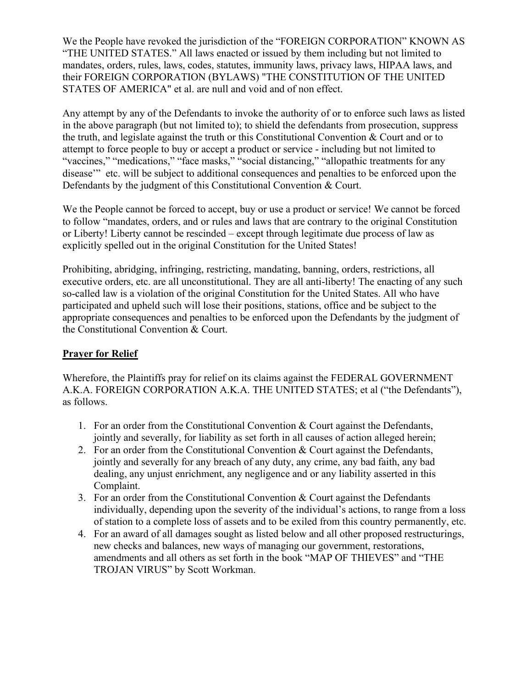We the People have revoked the jurisdiction of the "FOREIGN CORPORATION" KNOWN AS "THE UNITED STATES." All laws enacted or issued by them including but not limited to mandates, orders, rules, laws, codes, statutes, immunity laws, privacy laws, HIPAA laws, and their FOREIGN CORPORATION (BYLAWS) "THE CONSTITUTION OF THE UNITED STATES OF AMERICA" et al. are null and void and of non effect.

Any attempt by any of the Defendants to invoke the authority of or to enforce such laws as listed in the above paragraph (but not limited to); to shield the defendants from prosecution, suppress the truth, and legislate against the truth or this Constitutional Convention & Court and or to attempt to force people to buy or accept a product or service - including but not limited to "vaccines," "medications," "face masks," "social distancing," "allopathic treatments for any disease" etc. will be subject to additional consequences and penalties to be enforced upon the Defendants by the judgment of this Constitutional Convention & Court.

We the People cannot be forced to accept, buy or use a product or service! We cannot be forced to follow "mandates, orders, and or rules and laws that are contrary to the original Constitution or Liberty! Liberty cannot be rescinded – except through legitimate due process of law as explicitly spelled out in the original Constitution for the United States!

Prohibiting, abridging, infringing, restricting, mandating, banning, orders, restrictions, all executive orders, etc. are all unconstitutional. They are all anti-liberty! The enacting of any such so-called law is a violation of the original Constitution for the United States. All who have participated and upheld such will lose their positions, stations, office and be subject to the appropriate consequences and penalties to be enforced upon the Defendants by the judgment of the Constitutional Convention & Court.

#### **Prayer for Relief**

Wherefore, the Plaintiffs pray for relief on its claims against the FEDERAL GOVERNMENT A.K.A. FOREIGN CORPORATION A.K.A. THE UNITED STATES; et al ("the Defendants"), as follows.

- 1. For an order from the Constitutional Convention & Court against the Defendants, jointly and severally, for liability as set forth in all causes of action alleged herein;
- 2. For an order from the Constitutional Convention  $&$  Court against the Defendants, jointly and severally for any breach of any duty, any crime, any bad faith, any bad dealing, any unjust enrichment, any negligence and or any liability asserted in this Complaint.
- 3. For an order from the Constitutional Convention  $&$  Court against the Defendants individually, depending upon the severity of the individual's actions, to range from a loss of station to a complete loss of assets and to be exiled from this country permanently, etc.
- 4. For an award of all damages sought as listed below and all other proposed restructurings, new checks and balances, new ways of managing our government, restorations, amendments and all others as set forth in the book "MAP OF THIEVES" and "THE TROJAN VIRUS" by Scott Workman.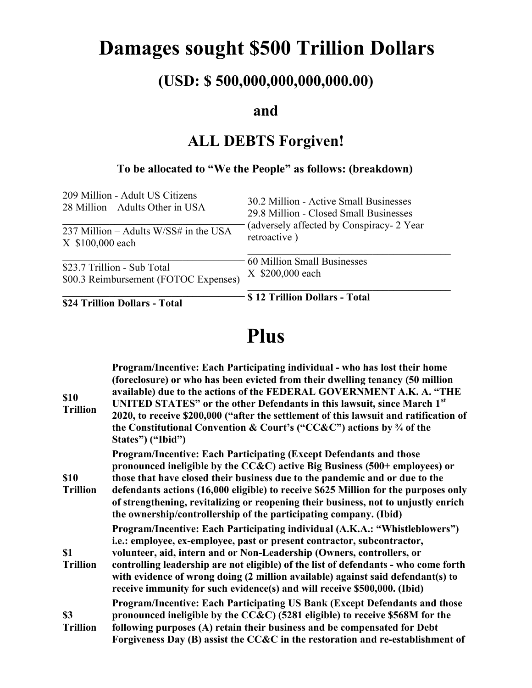# **Damages sought \$500 Trillion Dollars**

# **(USD: \$ 500,000,000,000,000.00)**

## **and**

## **ALL DEBTS Forgiven!**

### **To be allocated to "We the People" as follows: (breakdown)**

| \$24 Trillion Dollars - Total         | \$12 Trillion Dollars - Total               |  |  |
|---------------------------------------|---------------------------------------------|--|--|
| \$23.7 Trillion - Sub Total           | 60 Million Small Businesses                 |  |  |
| \$00.3 Reimbursement (FOTOC Expenses) | X \$200,000 each                            |  |  |
| 237 Million – Adults W/SS# in the USA | (adversely affected by Conspiracy - 2 Year) |  |  |
| $X$ \$100,000 each                    | retroactive)                                |  |  |
| 209 Million - Adult US Citizens       | 30.2 Million - Active Small Businesses      |  |  |
| 28 Million – Adults Other in USA      | 29.8 Million - Closed Small Businesses      |  |  |

# **Plus**

| \$10<br><b>Trillion</b>       | Program/Incentive: Each Participating individual - who has lost their home<br>(foreclosure) or who has been evicted from their dwelling tenancy (50 million<br>available) due to the actions of the FEDERAL GOVERNMENT A.K. A. "THE<br>UNITED STATES" or the other Defendants in this lawsuit, since March 1 <sup>st</sup><br>2020, to receive \$200,000 ("after the settlement of this lawsuit and ratification of<br>the Constitutional Convention & Court's ("CC&C") actions by 3/4 of the<br>States") ("Ibid") |
|-------------------------------|--------------------------------------------------------------------------------------------------------------------------------------------------------------------------------------------------------------------------------------------------------------------------------------------------------------------------------------------------------------------------------------------------------------------------------------------------------------------------------------------------------------------|
| \$10<br><b>Trillion</b>       | Program/Incentive: Each Participating (Except Defendants and those<br>pronounced ineligible by the CC&C) active Big Business (500+ employees) or<br>those that have closed their business due to the pandemic and or due to the<br>defendants actions (16,000 eligible) to receive \$625 Million for the purposes only<br>of strengthening, revitalizing or reopening their business, not to unjustly enrich<br>the ownership/controllership of the participating company. (Ibid)                                  |
| <b>\$1</b><br><b>Trillion</b> | Program/Incentive: Each Participating individual (A.K.A.: "Whistleblowers")<br>i.e.: employee, ex-employee, past or present contractor, subcontractor,<br>volunteer, aid, intern and or Non-Leadership (Owners, controllers, or<br>controlling leadership are not eligible) of the list of defendants - who come forth<br>with evidence of wrong doing (2 million available) against said defendant(s) to<br>receive immunity for such evidence(s) and will receive \$500,000. (Ibid)                              |
| <b>\$3</b><br><b>Trillion</b> | Program/Incentive: Each Participating US Bank (Except Defendants and those<br>pronounced ineligible by the CC&C) (5281 eligible) to receive \$568M for the<br>following purposes (A) retain their business and be compensated for Debt<br>Forgiveness Day (B) assist the CC&C in the restoration and re-establishment of                                                                                                                                                                                           |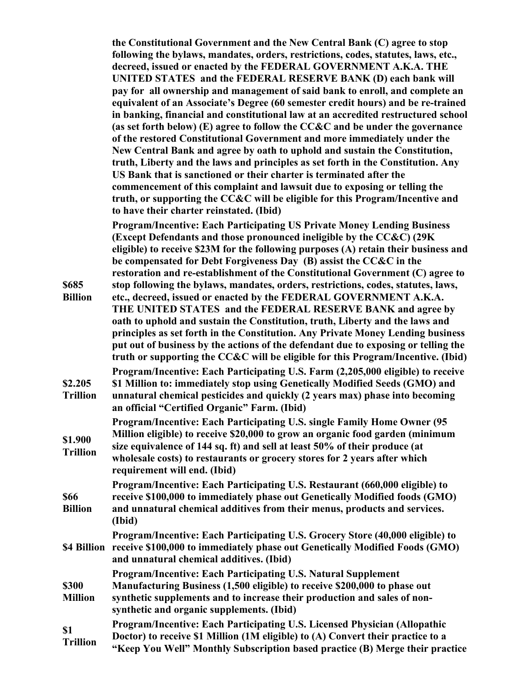|                            | the Constitutional Government and the New Central Bank (C) agree to stop<br>following the bylaws, mandates, orders, restrictions, codes, statutes, laws, etc.,<br>decreed, issued or enacted by the FEDERAL GOVERNMENT A.K.A. THE<br>UNITED STATES and the FEDERAL RESERVE BANK (D) each bank will<br>pay for all ownership and management of said bank to enroll, and complete an<br>equivalent of an Associate's Degree (60 semester credit hours) and be re-trained<br>in banking, financial and constitutional law at an accredited restructured school<br>(as set forth below) (E) agree to follow the $CC&C$ and be under the governance<br>of the restored Constitutional Government and more immediately under the<br>New Central Bank and agree by oath to uphold and sustain the Constitution,<br>truth, Liberty and the laws and principles as set forth in the Constitution. Any<br>US Bank that is sanctioned or their charter is terminated after the<br>commencement of this complaint and lawsuit due to exposing or telling the<br>truth, or supporting the CC&C will be eligible for this Program/Incentive and<br>to have their charter reinstated. (Ibid) |
|----------------------------|-------------------------------------------------------------------------------------------------------------------------------------------------------------------------------------------------------------------------------------------------------------------------------------------------------------------------------------------------------------------------------------------------------------------------------------------------------------------------------------------------------------------------------------------------------------------------------------------------------------------------------------------------------------------------------------------------------------------------------------------------------------------------------------------------------------------------------------------------------------------------------------------------------------------------------------------------------------------------------------------------------------------------------------------------------------------------------------------------------------------------------------------------------------------------------|
| \$685<br><b>Billion</b>    | Program/Incentive: Each Participating US Private Money Lending Business<br>(Except Defendants and those pronounced ineligible by the CC&C) (29K)<br>eligible) to receive \$23M for the following purposes (A) retain their business and<br>be compensated for Debt Forgiveness Day (B) assist the CC&C in the<br>restoration and re-establishment of the Constitutional Government (C) agree to<br>stop following the bylaws, mandates, orders, restrictions, codes, statutes, laws,<br>etc., decreed, issued or enacted by the FEDERAL GOVERNMENT A.K.A.<br>THE UNITED STATES and the FEDERAL RESERVE BANK and agree by<br>oath to uphold and sustain the Constitution, truth, Liberty and the laws and<br>principles as set forth in the Constitution. Any Private Money Lending business<br>put out of business by the actions of the defendant due to exposing or telling the<br>truth or supporting the CC&C will be eligible for this Program/Incentive. (Ibid)                                                                                                                                                                                                         |
| \$2.205<br><b>Trillion</b> | Program/Incentive: Each Participating U.S. Farm (2,205,000 eligible) to receive<br>\$1 Million to: immediately stop using Genetically Modified Seeds (GMO) and<br>unnatural chemical pesticides and quickly (2 years max) phase into becoming<br>an official "Certified Organic" Farm. (Ibid)                                                                                                                                                                                                                                                                                                                                                                                                                                                                                                                                                                                                                                                                                                                                                                                                                                                                                 |
| \$1.900<br><b>Trillion</b> | Program/Incentive: Each Participating U.S. single Family Home Owner (95<br>Million eligible) to receive \$20,000 to grow an organic food garden (minimum<br>size equivalence of 144 sq. ft) and sell at least 50% of their produce (at<br>wholesale costs) to restaurants or grocery stores for 2 years after which<br>requirement will end. (Ibid)                                                                                                                                                                                                                                                                                                                                                                                                                                                                                                                                                                                                                                                                                                                                                                                                                           |
| \$66<br><b>Billion</b>     | Program/Incentive: Each Participating U.S. Restaurant (660,000 eligible) to<br>receive \$100,000 to immediately phase out Genetically Modified foods (GMO)<br>and unnatural chemical additives from their menus, products and services.<br>(Ibid)                                                                                                                                                                                                                                                                                                                                                                                                                                                                                                                                                                                                                                                                                                                                                                                                                                                                                                                             |
| \$4 Billion                | Program/Incentive: Each Participating U.S. Grocery Store (40,000 eligible) to<br>receive \$100,000 to immediately phase out Genetically Modified Foods (GMO)<br>and unnatural chemical additives. (Ibid)                                                                                                                                                                                                                                                                                                                                                                                                                                                                                                                                                                                                                                                                                                                                                                                                                                                                                                                                                                      |
| \$300<br><b>Million</b>    | <b>Program/Incentive: Each Participating U.S. Natural Supplement</b><br>Manufacturing Business (1,500 eligible) to receive \$200,000 to phase out<br>synthetic supplements and to increase their production and sales of non-<br>synthetic and organic supplements. (Ibid)                                                                                                                                                                                                                                                                                                                                                                                                                                                                                                                                                                                                                                                                                                                                                                                                                                                                                                    |
| \$1<br><b>Trillion</b>     | Program/Incentive: Each Participating U.S. Licensed Physician (Allopathic<br>Doctor) to receive \$1 Million (1M eligible) to (A) Convert their practice to a<br>"Keep You Well" Monthly Subscription based practice (B) Merge their practice                                                                                                                                                                                                                                                                                                                                                                                                                                                                                                                                                                                                                                                                                                                                                                                                                                                                                                                                  |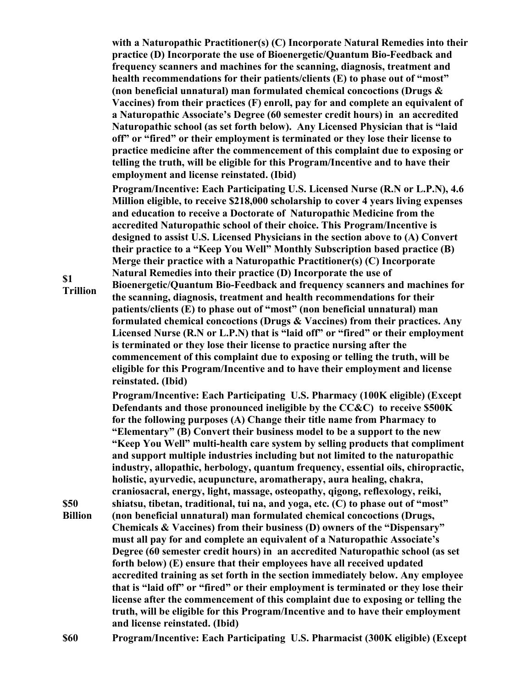**with a Naturopathic Practitioner(s) (C) Incorporate Natural Remedies into their practice (D) Incorporate the use of Bioenergetic/Quantum Bio-Feedback and frequency scanners and machines for the scanning, diagnosis, treatment and health recommendations for their patients/clients (E) to phase out of "most" (non beneficial unnatural) man formulated chemical concoctions (Drugs & Vaccines) from their practices (F) enroll, pay for and complete an equivalent of a Naturopathic Associate's Degree (60 semester credit hours) in an accredited Naturopathic school (as set forth below). Any Licensed Physician that is "laid off" or "fired" or their employment is terminated or they lose their license to practice medicine after the commencement of this complaint due to exposing or telling the truth, will be eligible for this Program/Incentive and to have their employment and license reinstated. (Ibid)**

**Program/Incentive: Each Participating U.S. Licensed Nurse (R.N or L.P.N), 4.6 Million eligible, to receive \$218,000 scholarship to cover 4 years living expenses and education to receive a Doctorate of Naturopathic Medicine from the accredited Naturopathic school of their choice. This Program/Incentive is designed to assist U.S. Licensed Physicians in the section above to (A) Convert their practice to a "Keep You Well" Monthly Subscription based practice (B) Merge their practice with a Naturopathic Practitioner(s) (C) Incorporate Natural Remedies into their practice (D) Incorporate the use of** 

**Trillion Bioenergetic/Quantum Bio-Feedback and frequency scanners and machines for the scanning, diagnosis, treatment and health recommendations for their patients/clients (E) to phase out of "most" (non beneficial unnatural) man formulated chemical concoctions (Drugs & Vaccines) from their practices. Any Licensed Nurse (R.N or L.P.N) that is "laid off" or "fired" or their employment is terminated or they lose their license to practice nursing after the commencement of this complaint due to exposing or telling the truth, will be eligible for this Program/Incentive and to have their employment and license reinstated. (Ibid)**

> **Program/Incentive: Each Participating U.S. Pharmacy (100K eligible) (Except Defendants and those pronounced ineligible by the CC&C) to receive \$500K for the following purposes (A) Change their title name from Pharmacy to "Elementary" (B) Convert their business model to be a support to the new "Keep You Well" multi-health care system by selling products that compliment and support multiple industries including but not limited to the naturopathic industry, allopathic, herbology, quantum frequency, essential oils, chiropractic, holistic, ayurvedic, acupuncture, aromatherapy, aura healing, chakra, craniosacral, energy, light, massage, osteopathy, qigong, reflexology, reiki, shiatsu, tibetan, traditional, tui na, and yoga, etc. (C) to phase out of "most"**

**\$50 Billion (non beneficial unnatural) man formulated chemical concoctions (Drugs, Chemicals & Vaccines) from their business (D) owners of the "Dispensary" must all pay for and complete an equivalent of a Naturopathic Associate's Degree (60 semester credit hours) in an accredited Naturopathic school (as set forth below) (E) ensure that their employees have all received updated accredited training as set forth in the section immediately below. Any employee that is "laid off" or "fired" or their employment is terminated or they lose their license after the commencement of this complaint due to exposing or telling the truth, will be eligible for this Program/Incentive and to have their employment and license reinstated. (Ibid)**

**\$60 Program/Incentive: Each Participating U.S. Pharmacist (300K eligible) (Except** 

**\$1**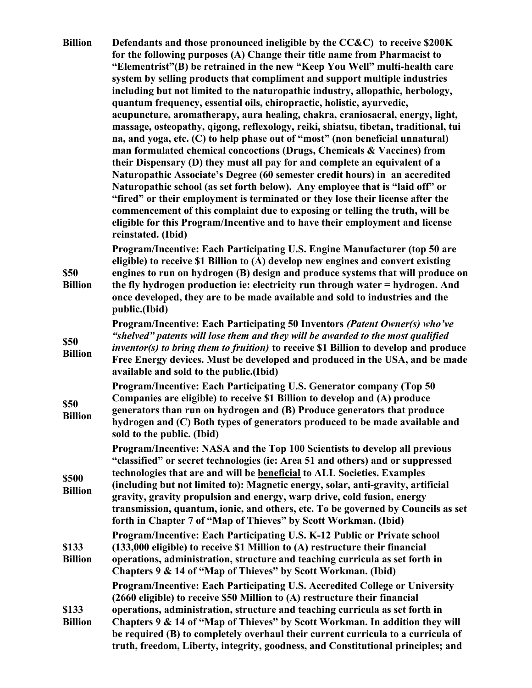| <b>Billion</b>          | Defendants and those pronounced ineligible by the CC&C) to receive \$200K<br>for the following purposes (A) Change their title name from Pharmacist to<br>"Elementrist"(B) be retrained in the new "Keep You Well" multi-health care<br>system by selling products that compliment and support multiple industries<br>including but not limited to the naturopathic industry, allopathic, herbology,<br>quantum frequency, essential oils, chiropractic, holistic, ayurvedic,<br>acupuncture, aromatherapy, aura healing, chakra, craniosacral, energy, light,<br>massage, osteopathy, qigong, reflexology, reiki, shiatsu, tibetan, traditional, tui<br>na, and yoga, etc. (C) to help phase out of "most" (non beneficial unnatural)<br>man formulated chemical concoctions (Drugs, Chemicals & Vaccines) from<br>their Dispensary (D) they must all pay for and complete an equivalent of a<br>Naturopathic Associate's Degree (60 semester credit hours) in an accredited<br>Naturopathic school (as set forth below). Any employee that is "laid off" or<br>"fired" or their employment is terminated or they lose their license after the<br>commencement of this complaint due to exposing or telling the truth, will be<br>eligible for this Program/Incentive and to have their employment and license<br>reinstated. (Ibid) |
|-------------------------|---------------------------------------------------------------------------------------------------------------------------------------------------------------------------------------------------------------------------------------------------------------------------------------------------------------------------------------------------------------------------------------------------------------------------------------------------------------------------------------------------------------------------------------------------------------------------------------------------------------------------------------------------------------------------------------------------------------------------------------------------------------------------------------------------------------------------------------------------------------------------------------------------------------------------------------------------------------------------------------------------------------------------------------------------------------------------------------------------------------------------------------------------------------------------------------------------------------------------------------------------------------------------------------------------------------------------------------|
| \$50<br><b>Billion</b>  | Program/Incentive: Each Participating U.S. Engine Manufacturer (top 50 are<br>eligible) to receive \$1 Billion to (A) develop new engines and convert existing<br>engines to run on hydrogen (B) design and produce systems that will produce on<br>the fly hydrogen production ie: electricity run through water = hydrogen. And<br>once developed, they are to be made available and sold to industries and the<br>public.(Ibid)                                                                                                                                                                                                                                                                                                                                                                                                                                                                                                                                                                                                                                                                                                                                                                                                                                                                                                    |
| \$50<br><b>Billion</b>  | Program/Incentive: Each Participating 50 Inventors (Patent Owner(s) who've<br>"shelved" patents will lose them and they will be awarded to the most qualified<br><i>inventor(s) to bring them to fruition)</i> to receive \$1 Billion to develop and produce<br>Free Energy devices. Must be developed and produced in the USA, and be made<br>available and sold to the public.(Ibid)                                                                                                                                                                                                                                                                                                                                                                                                                                                                                                                                                                                                                                                                                                                                                                                                                                                                                                                                                |
| \$50<br><b>Billion</b>  | Program/Incentive: Each Participating U.S. Generator company (Top 50<br>Companies are eligible) to receive \$1 Billion to develop and (A) produce<br>generators than run on hydrogen and (B) Produce generators that produce<br>hydrogen and (C) Both types of generators produced to be made available and<br>sold to the public. (Ibid)                                                                                                                                                                                                                                                                                                                                                                                                                                                                                                                                                                                                                                                                                                                                                                                                                                                                                                                                                                                             |
| \$500<br><b>Billion</b> | Program/Incentive: NASA and the Top 100 Scientists to develop all previous<br>"classified" or secret technologies (ie: Area 51 and others) and or suppressed<br>technologies that are and will be beneficial to ALL Societies. Examples<br>(including but not limited to): Magnetic energy, solar, anti-gravity, artificial<br>gravity, gravity propulsion and energy, warp drive, cold fusion, energy<br>transmission, quantum, ionic, and others, etc. To be governed by Councils as set<br>forth in Chapter 7 of "Map of Thieves" by Scott Workman. (Ibid)                                                                                                                                                                                                                                                                                                                                                                                                                                                                                                                                                                                                                                                                                                                                                                         |
| \$133<br><b>Billion</b> | Program/Incentive: Each Participating U.S. K-12 Public or Private school<br>(133,000 eligible) to receive \$1 Million to (A) restructure their financial<br>operations, administration, structure and teaching curricula as set forth in<br>Chapters 9 & 14 of "Map of Thieves" by Scott Workman. (Ibid)                                                                                                                                                                                                                                                                                                                                                                                                                                                                                                                                                                                                                                                                                                                                                                                                                                                                                                                                                                                                                              |
| \$133<br><b>Billion</b> | Program/Incentive: Each Participating U.S. Accredited College or University<br>(2660 eligible) to receive \$50 Million to (A) restructure their financial<br>operations, administration, structure and teaching curricula as set forth in<br>Chapters 9 & 14 of "Map of Thieves" by Scott Workman. In addition they will<br>be required (B) to completely overhaul their current curricula to a curricula of<br>truth, freedom, Liberty, integrity, goodness, and Constitutional principles; and                                                                                                                                                                                                                                                                                                                                                                                                                                                                                                                                                                                                                                                                                                                                                                                                                                      |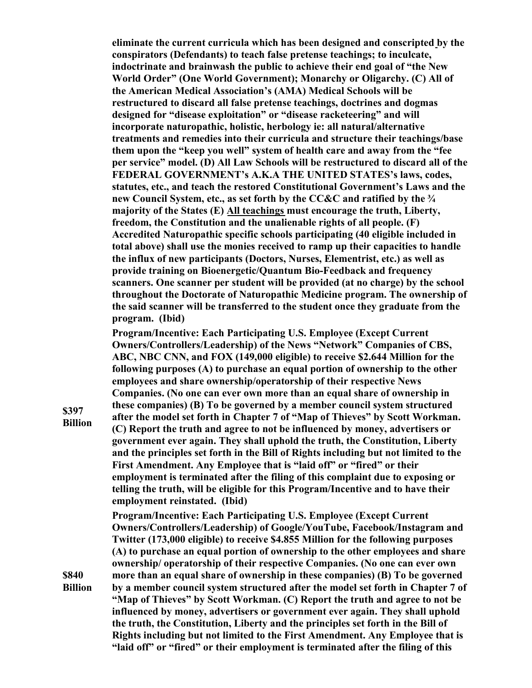**eliminate the current curricula which has been designed and conscripted by the conspirators (Defendants) to teach false pretense teachings; to inculcate, indoctrinate and brainwash the public to achieve their end goal of "the New World Order" (One World Government); Monarchy or Oligarchy. (C) All of the American Medical Association's (AMA) Medical Schools will be restructured to discard all false pretense teachings, doctrines and dogmas designed for "disease exploitation" or "disease racketeering" and will incorporate naturopathic, holistic, herbology ie: all natural/alternative treatments and remedies into their curricula and structure their teachings/base them upon the "keep you well" system of health care and away from the "fee per service" model. (D) All Law Schools will be restructured to discard all of the FEDERAL GOVERNMENT's A.K.A THE UNITED STATES's laws, codes, statutes, etc., and teach the restored Constitutional Government's Laws and the new Council System, etc., as set forth by the CC&C and ratified by the ¾ majority of the States (E) All teachings must encourage the truth, Liberty, freedom, the Constitution and the unalienable rights of all people. (F) Accredited Naturopathic specific schools participating (40 eligible included in total above) shall use the monies received to ramp up their capacities to handle the influx of new participants (Doctors, Nurses, Elementrist, etc.) as well as provide training on Bioenergetic/Quantum Bio-Feedback and frequency scanners. One scanner per student will be provided (at no charge) by the school throughout the Doctorate of Naturopathic Medicine program. The ownership of the said scanner will be transferred to the student once they graduate from the program. (Ibid)**

**Program/Incentive: Each Participating U.S. Employee (Except Current Owners/Controllers/Leadership) of the News "Network" Companies of CBS, ABC, NBC CNN, and FOX (149,000 eligible) to receive \$2.644 Million for the following purposes (A) to purchase an equal portion of ownership to the other employees and share ownership/operatorship of their respective News Companies. (No one can ever own more than an equal share of ownership in these companies) (B) To be governed by a member council system structured after the model set forth in Chapter 7 of "Map of Thieves" by Scott Workman. (C) Report the truth and agree to not be influenced by money, advertisers or government ever again. They shall uphold the truth, the Constitution, Liberty and the principles set forth in the Bill of Rights including but not limited to the First Amendment. Any Employee that is "laid off" or "fired" or their employment is terminated after the filing of this complaint due to exposing or telling the truth, will be eligible for this Program/Incentive and to have their employment reinstated. (Ibid)**

**Program/Incentive: Each Participating U.S. Employee (Except Current Owners/Controllers/Leadership) of Google/YouTube, Facebook/Instagram and Twitter (173,000 eligible) to receive \$4.855 Million for the following purposes (A) to purchase an equal portion of ownership to the other employees and share ownership/ operatorship of their respective Companies. (No one can ever own more than an equal share of ownership in these companies) (B) To be governed by a member council system structured after the model set forth in Chapter 7 of "Map of Thieves" by Scott Workman. (C) Report the truth and agree to not be influenced by money, advertisers or government ever again. They shall uphold the truth, the Constitution, Liberty and the principles set forth in the Bill of Rights including but not limited to the First Amendment. Any Employee that is "laid off" or "fired" or their employment is terminated after the filing of this** 

**\$397 Billion**

**\$840 Billion**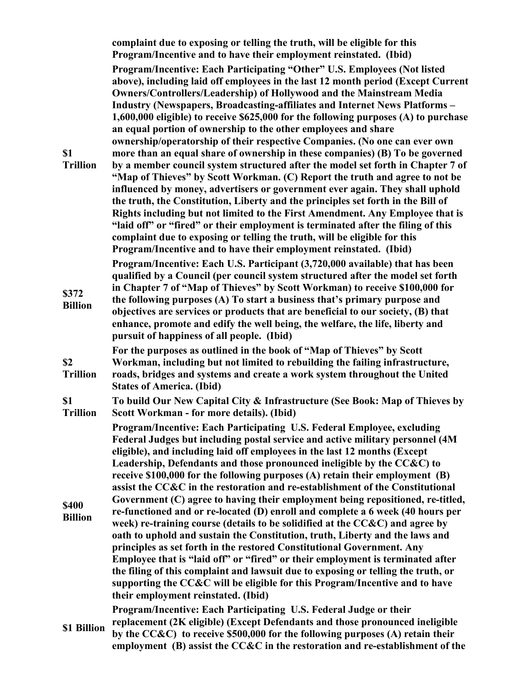|                                | complaint due to exposing or telling the truth, will be eligible for this<br>Program/Incentive and to have their employment reinstated. (Ibid)                                                                                                                                                                                                                                                                                                                                                                                                                                                                                                                                                                                                                                                                                                                                                                                                                                                                                                                                                                                                                                              |
|--------------------------------|---------------------------------------------------------------------------------------------------------------------------------------------------------------------------------------------------------------------------------------------------------------------------------------------------------------------------------------------------------------------------------------------------------------------------------------------------------------------------------------------------------------------------------------------------------------------------------------------------------------------------------------------------------------------------------------------------------------------------------------------------------------------------------------------------------------------------------------------------------------------------------------------------------------------------------------------------------------------------------------------------------------------------------------------------------------------------------------------------------------------------------------------------------------------------------------------|
|                                | Program/Incentive: Each Participating "Other" U.S. Employees (Not listed<br>above), including laid off employees in the last 12 month period (Except Current<br><b>Owners/Controllers/Leadership) of Hollywood and the Mainstream Media</b><br>Industry (Newspapers, Broadcasting-affiliates and Internet News Platforms -<br>1,600,000 eligible) to receive \$625,000 for the following purposes (A) to purchase<br>an equal portion of ownership to the other employees and share                                                                                                                                                                                                                                                                                                                                                                                                                                                                                                                                                                                                                                                                                                         |
| \$1<br><b>Trillion</b>         | ownership/operatorship of their respective Companies. (No one can ever own<br>more than an equal share of ownership in these companies) (B) To be governed<br>by a member council system structured after the model set forth in Chapter 7 of<br>"Map of Thieves" by Scott Workman. (C) Report the truth and agree to not be<br>influenced by money, advertisers or government ever again. They shall uphold<br>the truth, the Constitution, Liberty and the principles set forth in the Bill of<br>Rights including but not limited to the First Amendment. Any Employee that is<br>"laid off" or "fired" or their employment is terminated after the filing of this<br>complaint due to exposing or telling the truth, will be eligible for this<br>Program/Incentive and to have their employment reinstated. (Ibid)                                                                                                                                                                                                                                                                                                                                                                     |
| \$372<br><b>Billion</b>        | Program/Incentive: Each U.S. Participant (3,720,000 available) that has been<br>qualified by a Council (per council system structured after the model set forth<br>in Chapter 7 of "Map of Thieves" by Scott Workman) to receive \$100,000 for<br>the following purposes (A) To start a business that's primary purpose and<br>objectives are services or products that are beneficial to our society, (B) that<br>enhance, promote and edify the well being, the welfare, the life, liberty and<br>pursuit of happiness of all people. (Ibid)                                                                                                                                                                                                                                                                                                                                                                                                                                                                                                                                                                                                                                              |
| \$2<br><b>Trillion</b>         | For the purposes as outlined in the book of "Map of Thieves" by Scott<br>Workman, including but not limited to rebuilding the failing infrastructure,<br>roads, bridges and systems and create a work system throughout the United<br><b>States of America. (Ibid)</b>                                                                                                                                                                                                                                                                                                                                                                                                                                                                                                                                                                                                                                                                                                                                                                                                                                                                                                                      |
| \$1<br><b>Trillion</b>         | To build Our New Capital City & Infrastructure (See Book: Map of Thieves by<br>Scott Workman - for more details). (Ibid)                                                                                                                                                                                                                                                                                                                                                                                                                                                                                                                                                                                                                                                                                                                                                                                                                                                                                                                                                                                                                                                                    |
| <b>\$400</b><br><b>Billion</b> | Program/Incentive: Each Participating U.S. Federal Employee, excluding<br>Federal Judges but including postal service and active military personnel (4M<br>eligible), and including laid off employees in the last 12 months (Except<br>Leadership, Defendants and those pronounced ineligible by the CC&C) to<br>receive $$100,000$ for the following purposes (A) retain their employment (B)<br>assist the CC&C in the restoration and re-establishment of the Constitutional<br>Government (C) agree to having their employment being repositioned, re-titled,<br>re-functioned and or re-located (D) enroll and complete a 6 week (40 hours per<br>week) re-training course (details to be solidified at the CC&C) and agree by<br>oath to uphold and sustain the Constitution, truth, Liberty and the laws and<br>principles as set forth in the restored Constitutional Government. Any<br>Employee that is "laid off" or "fired" or their employment is terminated after<br>the filing of this complaint and lawsuit due to exposing or telling the truth, or<br>supporting the CC&C will be eligible for this Program/Incentive and to have<br>their employment reinstated. (Ibid) |
| \$1 Billion                    | Program/Incentive: Each Participating U.S. Federal Judge or their<br>replacement (2K eligible) (Except Defendants and those pronounced ineligible<br>by the $CC&C$ to receive \$500,000 for the following purposes (A) retain their<br>employment (B) assist the CC&C in the restoration and re-establishment of the                                                                                                                                                                                                                                                                                                                                                                                                                                                                                                                                                                                                                                                                                                                                                                                                                                                                        |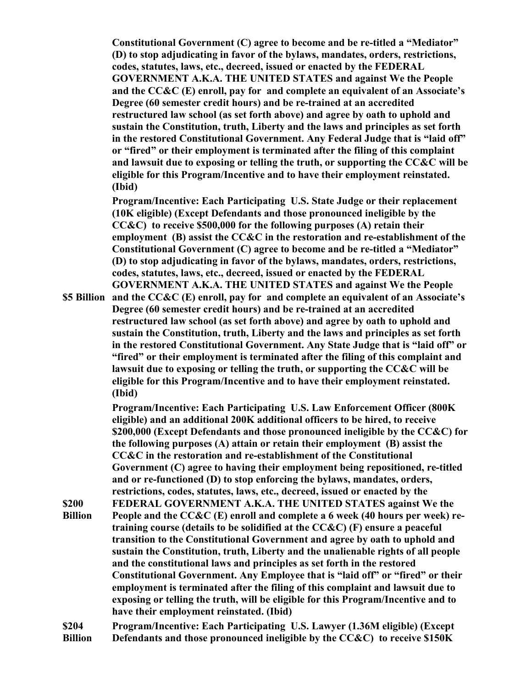**Constitutional Government (C) agree to become and be re-titled a "Mediator" (D) to stop adjudicating in favor of the bylaws, mandates, orders, restrictions, codes, statutes, laws, etc., decreed, issued or enacted by the FEDERAL GOVERNMENT A.K.A. THE UNITED STATES and against We the People and the CC&C (E) enroll, pay for and complete an equivalent of an Associate's Degree (60 semester credit hours) and be re-trained at an accredited restructured law school (as set forth above) and agree by oath to uphold and sustain the Constitution, truth, Liberty and the laws and principles as set forth in the restored Constitutional Government. Any Federal Judge that is "laid off" or "fired" or their employment is terminated after the filing of this complaint and lawsuit due to exposing or telling the truth, or supporting the CC&C will be eligible for this Program/Incentive and to have their employment reinstated. (Ibid)** 

**Program/Incentive: Each Participating U.S. State Judge or their replacement (10K eligible) (Except Defendants and those pronounced ineligible by the CC&C) to receive \$500,000 for the following purposes (A) retain their employment (B) assist the CC&C in the restoration and re-establishment of the Constitutional Government (C) agree to become and be re-titled a "Mediator" (D) to stop adjudicating in favor of the bylaws, mandates, orders, restrictions, codes, statutes, laws, etc., decreed, issued or enacted by the FEDERAL GOVERNMENT A.K.A. THE UNITED STATES and against We the People** 

**\$5 Billion and the CC&C (E) enroll, pay for and complete an equivalent of an Associate's Degree (60 semester credit hours) and be re-trained at an accredited restructured law school (as set forth above) and agree by oath to uphold and sustain the Constitution, truth, Liberty and the laws and principles as set forth in the restored Constitutional Government. Any State Judge that is "laid off" or "fired" or their employment is terminated after the filing of this complaint and lawsuit due to exposing or telling the truth, or supporting the CC&C will be eligible for this Program/Incentive and to have their employment reinstated. (Ibid)** 

> **Program/Incentive: Each Participating U.S. Law Enforcement Officer (800K eligible) and an additional 200K additional officers to be hired, to receive \$200,000 (Except Defendants and those pronounced ineligible by the CC&C) for the following purposes (A) attain or retain their employment (B) assist the CC&C in the restoration and re-establishment of the Constitutional Government (C) agree to having their employment being repositioned, re-titled and or re-functioned (D) to stop enforcing the bylaws, mandates, orders, restrictions, codes, statutes, laws, etc., decreed, issued or enacted by the**

**\$200** 

**Billion FEDERAL GOVERNMENT A.K.A. THE UNITED STATES against We the People and the CC&C (E) enroll and complete a 6 week (40 hours per week) retraining course (details to be solidified at the CC&C) (F) ensure a peaceful transition to the Constitutional Government and agree by oath to uphold and sustain the Constitution, truth, Liberty and the unalienable rights of all people and the constitutional laws and principles as set forth in the restored Constitutional Government. Any Employee that is "laid off" or "fired" or their employment is terminated after the filing of this complaint and lawsuit due to exposing or telling the truth, will be eligible for this Program/Incentive and to have their employment reinstated. (Ibid)**

**\$204 Billion Program/Incentive: Each Participating U.S. Lawyer (1.36M eligible) (Except Defendants and those pronounced ineligible by the CC&C) to receive \$150K**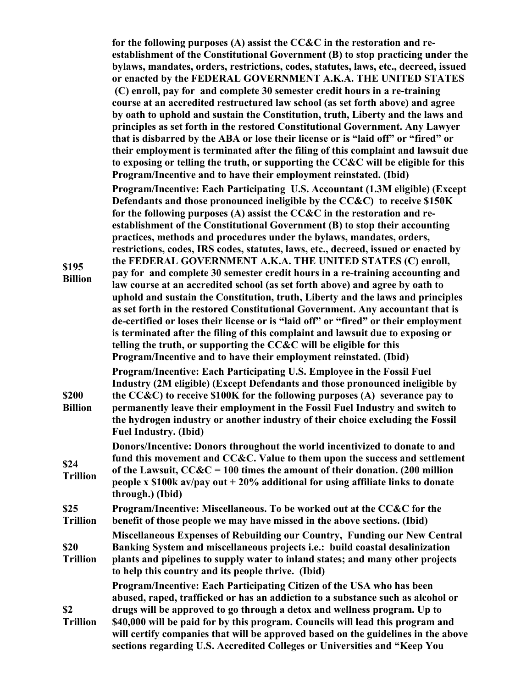|                         | for the following purposes $(A)$ assist the CC&C in the restoration and re-<br>establishment of the Constitutional Government (B) to stop practicing under the<br>bylaws, mandates, orders, restrictions, codes, statutes, laws, etc., decreed, issued<br>or enacted by the FEDERAL GOVERNMENT A.K.A. THE UNITED STATES<br>(C) enroll, pay for and complete 30 semester credit hours in a re-training<br>course at an accredited restructured law school (as set forth above) and agree<br>by oath to uphold and sustain the Constitution, truth, Liberty and the laws and<br>principles as set forth in the restored Constitutional Government. Any Lawyer<br>that is disbarred by the ABA or lose their license or is "laid off" or "fired" or<br>their employment is terminated after the filing of this complaint and lawsuit due<br>to exposing or telling the truth, or supporting the CC&C will be eligible for this<br>Program/Incentive and to have their employment reinstated. (Ibid)                                                                                                                                                                                                                    |
|-------------------------|---------------------------------------------------------------------------------------------------------------------------------------------------------------------------------------------------------------------------------------------------------------------------------------------------------------------------------------------------------------------------------------------------------------------------------------------------------------------------------------------------------------------------------------------------------------------------------------------------------------------------------------------------------------------------------------------------------------------------------------------------------------------------------------------------------------------------------------------------------------------------------------------------------------------------------------------------------------------------------------------------------------------------------------------------------------------------------------------------------------------------------------------------------------------------------------------------------------------|
| \$195<br><b>Billion</b> | Program/Incentive: Each Participating U.S. Accountant (1.3M eligible) (Except<br>Defendants and those pronounced ineligible by the CC&C) to receive \$150K<br>for the following purposes $(A)$ assist the CC&C in the restoration and re-<br>establishment of the Constitutional Government (B) to stop their accounting<br>practices, methods and procedures under the bylaws, mandates, orders,<br>restrictions, codes, IRS codes, statutes, laws, etc., decreed, issued or enacted by<br>the FEDERAL GOVERNMENT A.K.A. THE UNITED STATES (C) enroll,<br>pay for and complete 30 semester credit hours in a re-training accounting and<br>law course at an accredited school (as set forth above) and agree by oath to<br>uphold and sustain the Constitution, truth, Liberty and the laws and principles<br>as set forth in the restored Constitutional Government. Any accountant that is<br>de-certified or loses their license or is "laid off" or "fired" or their employment<br>is terminated after the filing of this complaint and lawsuit due to exposing or<br>telling the truth, or supporting the CC&C will be eligible for this<br>Program/Incentive and to have their employment reinstated. (Ibid) |
| \$200<br><b>Billion</b> | Program/Incentive: Each Participating U.S. Employee in the Fossil Fuel<br>Industry (2M eligible) (Except Defendants and those pronounced ineligible by<br>the CC&C) to receive \$100K for the following purposes (A) severance pay to<br>permanently leave their employment in the Fossil Fuel Industry and switch to<br>the hydrogen industry or another industry of their choice excluding the Fossil<br><b>Fuel Industry. (Ibid)</b>                                                                                                                                                                                                                                                                                                                                                                                                                                                                                                                                                                                                                                                                                                                                                                             |
| \$24<br><b>Trillion</b> | Donors/Incentive: Donors throughout the world incentivized to donate to and<br>fund this movement and CC&C. Value to them upon the success and settlement<br>of the Lawsuit, $CC&C = 100$ times the amount of their donation. (200 million<br>people x $$100k$ av/pay out + 20% additional for using affiliate links to donate<br>through.) (Ibid)                                                                                                                                                                                                                                                                                                                                                                                                                                                                                                                                                                                                                                                                                                                                                                                                                                                                  |
| \$25<br><b>Trillion</b> | Program/Incentive: Miscellaneous. To be worked out at the CC&C for the<br>benefit of those people we may have missed in the above sections. (Ibid)                                                                                                                                                                                                                                                                                                                                                                                                                                                                                                                                                                                                                                                                                                                                                                                                                                                                                                                                                                                                                                                                  |
| \$20<br><b>Trillion</b> | Miscellaneous Expenses of Rebuilding our Country, Funding our New Central<br>Banking System and miscellaneous projects i.e.: build coastal desalinization<br>plants and pipelines to supply water to inland states; and many other projects<br>to help this country and its people thrive. (Ibid)                                                                                                                                                                                                                                                                                                                                                                                                                                                                                                                                                                                                                                                                                                                                                                                                                                                                                                                   |
| \$2<br><b>Trillion</b>  | Program/Incentive: Each Participating Citizen of the USA who has been<br>abused, raped, trafficked or has an addiction to a substance such as alcohol or<br>drugs will be approved to go through a detox and wellness program. Up to<br>\$40,000 will be paid for by this program. Councils will lead this program and<br>will certify companies that will be approved based on the guidelines in the above<br>sections regarding U.S. Accredited Colleges or Universities and "Keep You                                                                                                                                                                                                                                                                                                                                                                                                                                                                                                                                                                                                                                                                                                                            |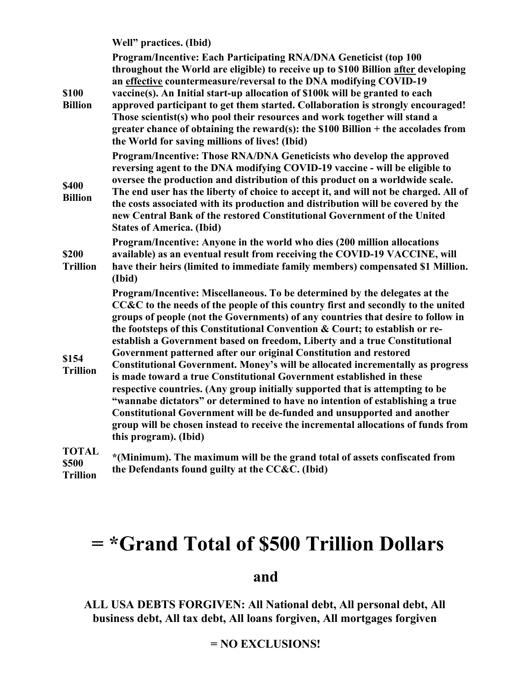| Well" practices. (Ibid) |
|-------------------------|
|-------------------------|

| \$100<br><b>Billion</b>                  | <b>Program/Incentive: Each Participating RNA/DNA Geneticist (top 100</b><br>throughout the World are eligible) to receive up to \$100 Billion after developing<br>an effective countermeasure/reversal to the DNA modifying COVID-19<br>vaccine(s). An Initial start-up allocation of \$100k will be granted to each<br>approved participant to get them started. Collaboration is strongly encouraged!<br>Those scientist(s) who pool their resources and work together will stand a<br>greater chance of obtaining the reward(s): the \$100 Billion + the accolades from<br>the World for saving millions of lives! (Ibid)                                                                                                                                                                                                                                                                                                                                                                                      |
|------------------------------------------|-------------------------------------------------------------------------------------------------------------------------------------------------------------------------------------------------------------------------------------------------------------------------------------------------------------------------------------------------------------------------------------------------------------------------------------------------------------------------------------------------------------------------------------------------------------------------------------------------------------------------------------------------------------------------------------------------------------------------------------------------------------------------------------------------------------------------------------------------------------------------------------------------------------------------------------------------------------------------------------------------------------------|
| <b>\$400</b><br><b>Billion</b>           | Program/Incentive: Those RNA/DNA Geneticists who develop the approved<br>reversing agent to the DNA modifying COVID-19 vaccine - will be eligible to<br>oversee the production and distribution of this product on a worldwide scale.<br>The end user has the liberty of choice to accept it, and will not be charged. All of<br>the costs associated with its production and distribution will be covered by the<br>new Central Bank of the restored Constitutional Government of the United<br><b>States of America. (Ibid)</b>                                                                                                                                                                                                                                                                                                                                                                                                                                                                                 |
| \$200<br><b>Trillion</b>                 | Program/Incentive: Anyone in the world who dies (200 million allocations<br>available) as an eventual result from receiving the COVID-19 VACCINE, will<br>have their heirs (limited to immediate family members) compensated \$1 Million.<br>(Ibid)                                                                                                                                                                                                                                                                                                                                                                                                                                                                                                                                                                                                                                                                                                                                                               |
| \$154<br><b>Trillion</b>                 | Program/Incentive: Miscellaneous. To be determined by the delegates at the<br>CC&C to the needs of the people of this country first and secondly to the united<br>groups of people (not the Governments) of any countries that desire to follow in<br>the footsteps of this Constitutional Convention & Court; to establish or re-<br>establish a Government based on freedom, Liberty and a true Constitutional<br>Government patterned after our original Constitution and restored<br><b>Constitutional Government. Money's will be allocated incrementally as progress</b><br>is made toward a true Constitutional Government established in these<br>respective countries. (Any group initially supported that is attempting to be<br>"wannabe dictators" or determined to have no intention of establishing a true<br>Constitutional Government will be de-funded and unsupported and another<br>group will be chosen instead to receive the incremental allocations of funds from<br>this program). (Ibid) |
| <b>TOTAL</b><br>\$500<br><b>Trillion</b> | *(Minimum). The maximum will be the grand total of assets confiscated from<br>the Defendants found guilty at the CC&C. (Ibid)                                                                                                                                                                                                                                                                                                                                                                                                                                                                                                                                                                                                                                                                                                                                                                                                                                                                                     |

# **= \*Grand Total of \$500 Trillion Dollars**

## **and**

**ALL USA DEBTS FORGIVEN: All National debt, All personal debt, All business debt, All tax debt, All loans forgiven, All mortgages forgiven** 

**= NO EXCLUSIONS!**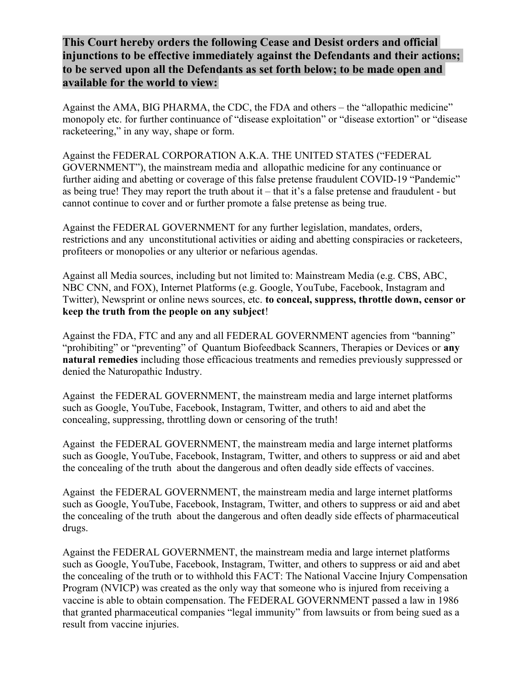### **This Court hereby orders the following Cease and Desist orders and official injunctions to be effective immediately against the Defendants and their actions; to be served upon all the Defendants as set forth below; to be made open and available for the world to view:**

Against the AMA, BIG PHARMA, the CDC, the FDA and others – the "allopathic medicine" monopoly etc. for further continuance of "disease exploitation" or "disease extortion" or "disease racketeering," in any way, shape or form.

Against the FEDERAL CORPORATION A.K.A. THE UNITED STATES ("FEDERAL GOVERNMENT"), the mainstream media and allopathic medicine for any continuance or further aiding and abetting or coverage of this false pretense fraudulent COVID-19 "Pandemic" as being true! They may report the truth about it – that it's a false pretense and fraudulent - but cannot continue to cover and or further promote a false pretense as being true.

Against the FEDERAL GOVERNMENT for any further legislation, mandates, orders, restrictions and any unconstitutional activities or aiding and abetting conspiracies or racketeers, profiteers or monopolies or any ulterior or nefarious agendas.

Against all Media sources, including but not limited to: Mainstream Media (e.g. CBS, ABC, NBC CNN, and FOX), Internet Platforms (e.g. Google, YouTube, Facebook, Instagram and Twitter), Newsprint or online news sources, etc. **to conceal, suppress, throttle down, censor or keep the truth from the people on any subject**!

Against the FDA, FTC and any and all FEDERAL GOVERNMENT agencies from "banning" "prohibiting" or "preventing" of Quantum Biofeedback Scanners, Therapies or Devices or **any natural remedies** including those efficacious treatments and remedies previously suppressed or denied the Naturopathic Industry.

Against the FEDERAL GOVERNMENT, the mainstream media and large internet platforms such as Google, YouTube, Facebook, Instagram, Twitter, and others to aid and abet the concealing, suppressing, throttling down or censoring of the truth!

Against the FEDERAL GOVERNMENT, the mainstream media and large internet platforms such as Google, YouTube, Facebook, Instagram, Twitter, and others to suppress or aid and abet the concealing of the truth about the dangerous and often deadly side effects of vaccines.

Against the FEDERAL GOVERNMENT, the mainstream media and large internet platforms such as Google, YouTube, Facebook, Instagram, Twitter, and others to suppress or aid and abet the concealing of the truth about the dangerous and often deadly side effects of pharmaceutical drugs.

Against the FEDERAL GOVERNMENT, the mainstream media and large internet platforms such as Google, YouTube, Facebook, Instagram, Twitter, and others to suppress or aid and abet the concealing of the truth or to withhold this FACT: The National Vaccine Injury Compensation Program (NVICP) was created as the only way that someone who is injured from receiving a vaccine is able to obtain compensation. The FEDERAL GOVERNMENT passed a law in 1986 that granted pharmaceutical companies "legal immunity" from lawsuits or from being sued as a result from vaccine injuries.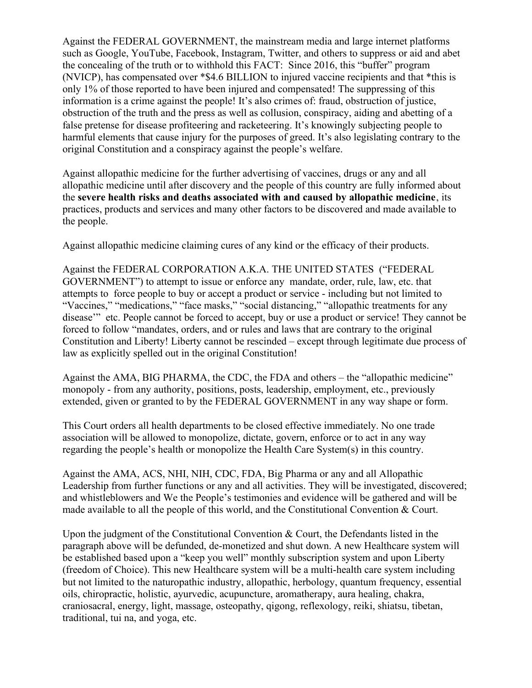Against the FEDERAL GOVERNMENT, the mainstream media and large internet platforms such as Google, YouTube, Facebook, Instagram, Twitter, and others to suppress or aid and abet the concealing of the truth or to withhold this FACT: Since 2016, this "buffer" program (NVICP), has compensated over \*\$4.6 BILLION to injured vaccine recipients and that \*this is only 1% of those reported to have been injured and compensated! The suppressing of this information is a crime against the people! It's also crimes of: fraud, obstruction of justice, obstruction of the truth and the press as well as collusion, conspiracy, aiding and abetting of a false pretense for disease profiteering and racketeering. It's knowingly subjecting people to harmful elements that cause injury for the purposes of greed. It's also legislating contrary to the original Constitution and a conspiracy against the people's welfare.

Against allopathic medicine for the further advertising of vaccines, drugs or any and all allopathic medicine until after discovery and the people of this country are fully informed about the **severe health risks and deaths associated with and caused by allopathic medicine**, its practices, products and services and many other factors to be discovered and made available to the people.

Against allopathic medicine claiming cures of any kind or the efficacy of their products.

Against the FEDERAL CORPORATION A.K.A. THE UNITED STATES ("FEDERAL GOVERNMENT") to attempt to issue or enforce any mandate, order, rule, law, etc. that attempts to force people to buy or accept a product or service - including but not limited to "Vaccines," "medications," "face masks," "social distancing," "allopathic treatments for any disease'" etc. People cannot be forced to accept, buy or use a product or service! They cannot be forced to follow "mandates, orders, and or rules and laws that are contrary to the original Constitution and Liberty! Liberty cannot be rescinded – except through legitimate due process of law as explicitly spelled out in the original Constitution!

Against the AMA, BIG PHARMA, the CDC, the FDA and others – the "allopathic medicine" monopoly - from any authority, positions, posts, leadership, employment, etc., previously extended, given or granted to by the FEDERAL GOVERNMENT in any way shape or form.

This Court orders all health departments to be closed effective immediately. No one trade association will be allowed to monopolize, dictate, govern, enforce or to act in any way regarding the people's health or monopolize the Health Care System(s) in this country.

Against the AMA, ACS, NHI, NIH, CDC, FDA, Big Pharma or any and all Allopathic Leadership from further functions or any and all activities. They will be investigated, discovered; and whistleblowers and We the People's testimonies and evidence will be gathered and will be made available to all the people of this world, and the Constitutional Convention & Court.

Upon the judgment of the Constitutional Convention  $&$  Court, the Defendants listed in the paragraph above will be defunded, de-monetized and shut down. A new Healthcare system will be established based upon a "keep you well" monthly subscription system and upon Liberty (freedom of Choice). This new Healthcare system will be a multi-health care system including but not limited to the naturopathic industry, allopathic, herbology, quantum frequency, essential oils, chiropractic, holistic, ayurvedic, acupuncture, aromatherapy, aura healing, chakra, craniosacral, energy, light, massage, osteopathy, qigong, reflexology, reiki, shiatsu, tibetan, traditional, tui na, and yoga, etc.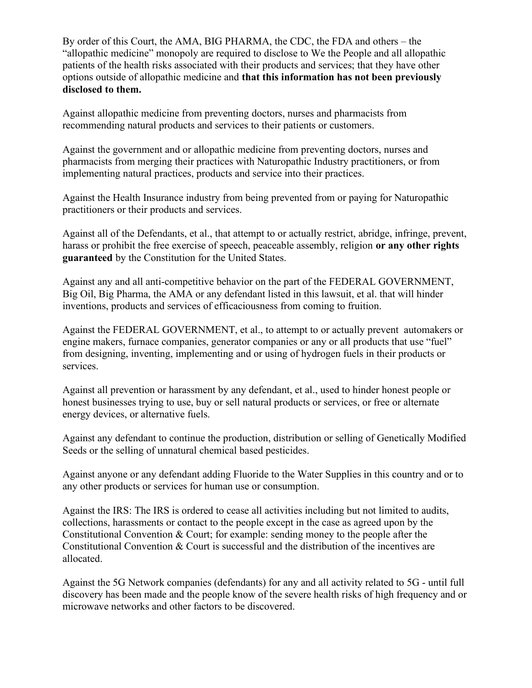By order of this Court, the AMA, BIG PHARMA, the CDC, the FDA and others – the "allopathic medicine" monopoly are required to disclose to We the People and all allopathic patients of the health risks associated with their products and services; that they have other options outside of allopathic medicine and **that this information has not been previously disclosed to them.**

Against allopathic medicine from preventing doctors, nurses and pharmacists from recommending natural products and services to their patients or customers.

Against the government and or allopathic medicine from preventing doctors, nurses and pharmacists from merging their practices with Naturopathic Industry practitioners, or from implementing natural practices, products and service into their practices.

Against the Health Insurance industry from being prevented from or paying for Naturopathic practitioners or their products and services.

Against all of the Defendants, et al., that attempt to or actually restrict, abridge, infringe, prevent, harass or prohibit the free exercise of speech, peaceable assembly, religion **or any other rights guaranteed** by the Constitution for the United States.

Against any and all anti-competitive behavior on the part of the FEDERAL GOVERNMENT, Big Oil, Big Pharma, the AMA or any defendant listed in this lawsuit, et al. that will hinder inventions, products and services of efficaciousness from coming to fruition.

Against the FEDERAL GOVERNMENT, et al., to attempt to or actually prevent automakers or engine makers, furnace companies, generator companies or any or all products that use "fuel" from designing, inventing, implementing and or using of hydrogen fuels in their products or services.

Against all prevention or harassment by any defendant, et al., used to hinder honest people or honest businesses trying to use, buy or sell natural products or services, or free or alternate energy devices, or alternative fuels.

Against any defendant to continue the production, distribution or selling of Genetically Modified Seeds or the selling of unnatural chemical based pesticides.

Against anyone or any defendant adding Fluoride to the Water Supplies in this country and or to any other products or services for human use or consumption.

Against the IRS: The IRS is ordered to cease all activities including but not limited to audits, collections, harassments or contact to the people except in the case as agreed upon by the Constitutional Convention & Court; for example: sending money to the people after the Constitutional Convention & Court is successful and the distribution of the incentives are allocated.

Against the 5G Network companies (defendants) for any and all activity related to 5G - until full discovery has been made and the people know of the severe health risks of high frequency and or microwave networks and other factors to be discovered.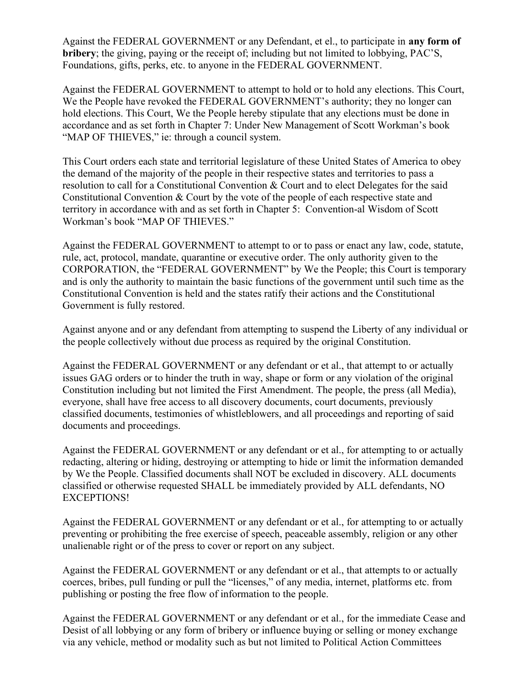Against the FEDERAL GOVERNMENT or any Defendant, et el., to participate in **any form of bribery**; the giving, paying or the receipt of; including but not limited to lobbying, PAC'S, Foundations, gifts, perks, etc. to anyone in the FEDERAL GOVERNMENT.

Against the FEDERAL GOVERNMENT to attempt to hold or to hold any elections. This Court, We the People have revoked the FEDERAL GOVERNMENT's authority; they no longer can hold elections. This Court, We the People hereby stipulate that any elections must be done in accordance and as set forth in Chapter 7: Under New Management of Scott Workman's book "MAP OF THIEVES," ie: through a council system.

This Court orders each state and territorial legislature of these United States of America to obey the demand of the majority of the people in their respective states and territories to pass a resolution to call for a Constitutional Convention & Court and to elect Delegates for the said Constitutional Convention & Court by the vote of the people of each respective state and territory in accordance with and as set forth in Chapter 5: Convention-al Wisdom of Scott Workman's book "MAP OF THIEVES."

Against the FEDERAL GOVERNMENT to attempt to or to pass or enact any law, code, statute, rule, act, protocol, mandate, quarantine or executive order. The only authority given to the CORPORATION, the "FEDERAL GOVERNMENT" by We the People; this Court is temporary and is only the authority to maintain the basic functions of the government until such time as the Constitutional Convention is held and the states ratify their actions and the Constitutional Government is fully restored.

Against anyone and or any defendant from attempting to suspend the Liberty of any individual or the people collectively without due process as required by the original Constitution.

Against the FEDERAL GOVERNMENT or any defendant or et al., that attempt to or actually issues GAG orders or to hinder the truth in way, shape or form or any violation of the original Constitution including but not limited the First Amendment. The people, the press (all Media), everyone, shall have free access to all discovery documents, court documents, previously classified documents, testimonies of whistleblowers, and all proceedings and reporting of said documents and proceedings.

Against the FEDERAL GOVERNMENT or any defendant or et al., for attempting to or actually redacting, altering or hiding, destroying or attempting to hide or limit the information demanded by We the People. Classified documents shall NOT be excluded in discovery. ALL documents classified or otherwise requested SHALL be immediately provided by ALL defendants, NO EXCEPTIONS!

Against the FEDERAL GOVERNMENT or any defendant or et al., for attempting to or actually preventing or prohibiting the free exercise of speech, peaceable assembly, religion or any other unalienable right or of the press to cover or report on any subject.

Against the FEDERAL GOVERNMENT or any defendant or et al., that attempts to or actually coerces, bribes, pull funding or pull the "licenses," of any media, internet, platforms etc. from publishing or posting the free flow of information to the people.

Against the FEDERAL GOVERNMENT or any defendant or et al., for the immediate Cease and Desist of all lobbying or any form of bribery or influence buying or selling or money exchange via any vehicle, method or modality such as but not limited to Political Action Committees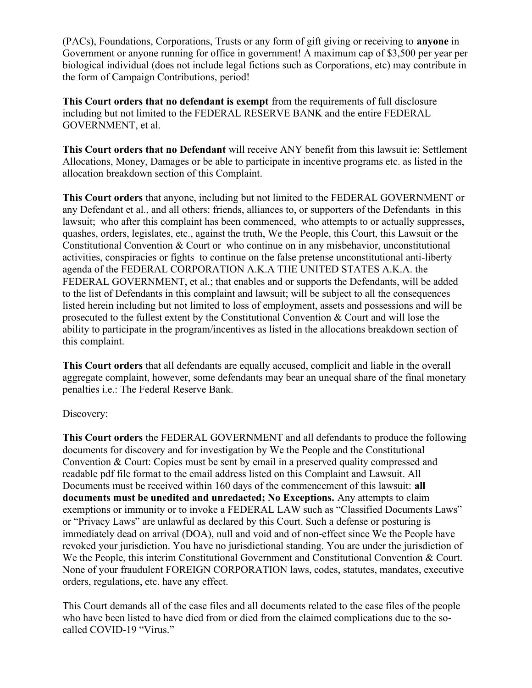(PACs), Foundations, Corporations, Trusts or any form of gift giving or receiving to **anyone** in Government or anyone running for office in government! A maximum cap of \$3,500 per year per biological individual (does not include legal fictions such as Corporations, etc) may contribute in the form of Campaign Contributions, period!

**This Court orders that no defendant is exempt** from the requirements of full disclosure including but not limited to the FEDERAL RESERVE BANK and the entire FEDERAL GOVERNMENT, et al.

**This Court orders that no Defendant** will receive ANY benefit from this lawsuit ie: Settlement Allocations, Money, Damages or be able to participate in incentive programs etc. as listed in the allocation breakdown section of this Complaint.

**This Court orders** that anyone, including but not limited to the FEDERAL GOVERNMENT or any Defendant et al., and all others: friends, alliances to, or supporters of the Defendants in this lawsuit; who after this complaint has been commenced, who attempts to or actually suppresses, quashes, orders, legislates, etc., against the truth, We the People, this Court, this Lawsuit or the Constitutional Convention & Court or who continue on in any misbehavior, unconstitutional activities, conspiracies or fights to continue on the false pretense unconstitutional anti-liberty agenda of the FEDERAL CORPORATION A.K.A THE UNITED STATES A.K.A. the FEDERAL GOVERNMENT, et al.; that enables and or supports the Defendants, will be added to the list of Defendants in this complaint and lawsuit; will be subject to all the consequences listed herein including but not limited to loss of employment, assets and possessions and will be prosecuted to the fullest extent by the Constitutional Convention & Court and will lose the ability to participate in the program/incentives as listed in the allocations breakdown section of this complaint.

**This Court orders** that all defendants are equally accused, complicit and liable in the overall aggregate complaint, however, some defendants may bear an unequal share of the final monetary penalties i.e.: The Federal Reserve Bank.

#### Discovery:

**This Court orders** the FEDERAL GOVERNMENT and all defendants to produce the following documents for discovery and for investigation by We the People and the Constitutional Convention & Court: Copies must be sent by email in a preserved quality compressed and readable pdf file format to the email address listed on this Complaint and Lawsuit. All Documents must be received within 160 days of the commencement of this lawsuit: **all documents must be unedited and unredacted; No Exceptions.** Any attempts to claim exemptions or immunity or to invoke a FEDERAL LAW such as "Classified Documents Laws" or "Privacy Laws" are unlawful as declared by this Court. Such a defense or posturing is immediately dead on arrival (DOA), null and void and of non-effect since We the People have revoked your jurisdiction. You have no jurisdictional standing. You are under the jurisdiction of We the People, this interim Constitutional Government and Constitutional Convention & Court. None of your fraudulent FOREIGN CORPORATION laws, codes, statutes, mandates, executive orders, regulations, etc. have any effect.

This Court demands all of the case files and all documents related to the case files of the people who have been listed to have died from or died from the claimed complications due to the socalled COVID-19 "Virus."